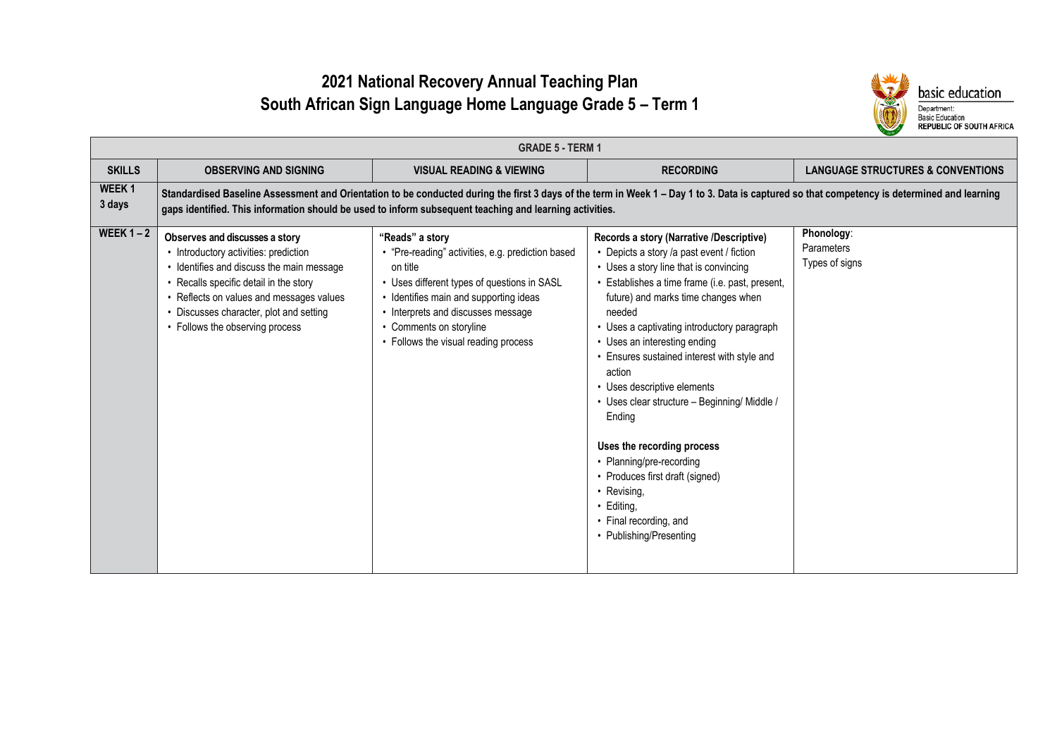# **2021 National Recovery Annual Teaching Plan South African Sign Language Home Language Grade 5 – Term 1**



|                             | <b>GRADE 5 - TERM 1</b>                                                                                                                                                                                                                                                                  |                                                                                                                                                                                                                                                                                                        |                                                                                                                                                                                                                                                                                                                                                                                                                                                                                                                                                                                                                                                           |                                                   |  |  |
|-----------------------------|------------------------------------------------------------------------------------------------------------------------------------------------------------------------------------------------------------------------------------------------------------------------------------------|--------------------------------------------------------------------------------------------------------------------------------------------------------------------------------------------------------------------------------------------------------------------------------------------------------|-----------------------------------------------------------------------------------------------------------------------------------------------------------------------------------------------------------------------------------------------------------------------------------------------------------------------------------------------------------------------------------------------------------------------------------------------------------------------------------------------------------------------------------------------------------------------------------------------------------------------------------------------------------|---------------------------------------------------|--|--|
| <b>SKILLS</b>               | <b>OBSERVING AND SIGNING</b>                                                                                                                                                                                                                                                             | <b>VISUAL READING &amp; VIEWING</b>                                                                                                                                                                                                                                                                    | <b>RECORDING</b>                                                                                                                                                                                                                                                                                                                                                                                                                                                                                                                                                                                                                                          | <b>LANGUAGE STRUCTURES &amp; CONVENTIONS</b>      |  |  |
| WEEK <sub>1</sub><br>3 days |                                                                                                                                                                                                                                                                                          | Standardised Baseline Assessment and Orientation to be conducted during the first 3 days of the term in Week 1 - Day 1 to 3. Data is captured so that competency is determined and learning<br>gaps identified. This information should be used to inform subsequent teaching and learning activities. |                                                                                                                                                                                                                                                                                                                                                                                                                                                                                                                                                                                                                                                           |                                                   |  |  |
| WEEK $1 - 2$                | Observes and discusses a story<br>• Introductory activities: prediction<br>• Identifies and discuss the main message<br>• Recalls specific detail in the story<br>• Reflects on values and messages values<br>• Discusses character, plot and setting<br>• Follows the observing process | "Reads" a story<br>• "Pre-reading" activities, e.g. prediction based<br>on title<br>• Uses different types of questions in SASL<br>• Identifies main and supporting ideas<br>• Interprets and discusses message<br>• Comments on storyline<br>• Follows the visual reading process                     | Records a story (Narrative /Descriptive)<br>• Depicts a story /a past event / fiction<br>• Uses a story line that is convincing<br>• Establishes a time frame (i.e. past, present,<br>future) and marks time changes when<br>needed<br>• Uses a captivating introductory paragraph<br>• Uses an interesting ending<br>• Ensures sustained interest with style and<br>action<br>• Uses descriptive elements<br>· Uses clear structure - Beginning/ Middle /<br>Ending<br>Uses the recording process<br>• Planning/pre-recording<br>• Produces first draft (signed)<br>• Revising,<br>$\cdot$ Editing.<br>• Final recording, and<br>• Publishing/Presenting | Phonology:<br><b>Parameters</b><br>Types of signs |  |  |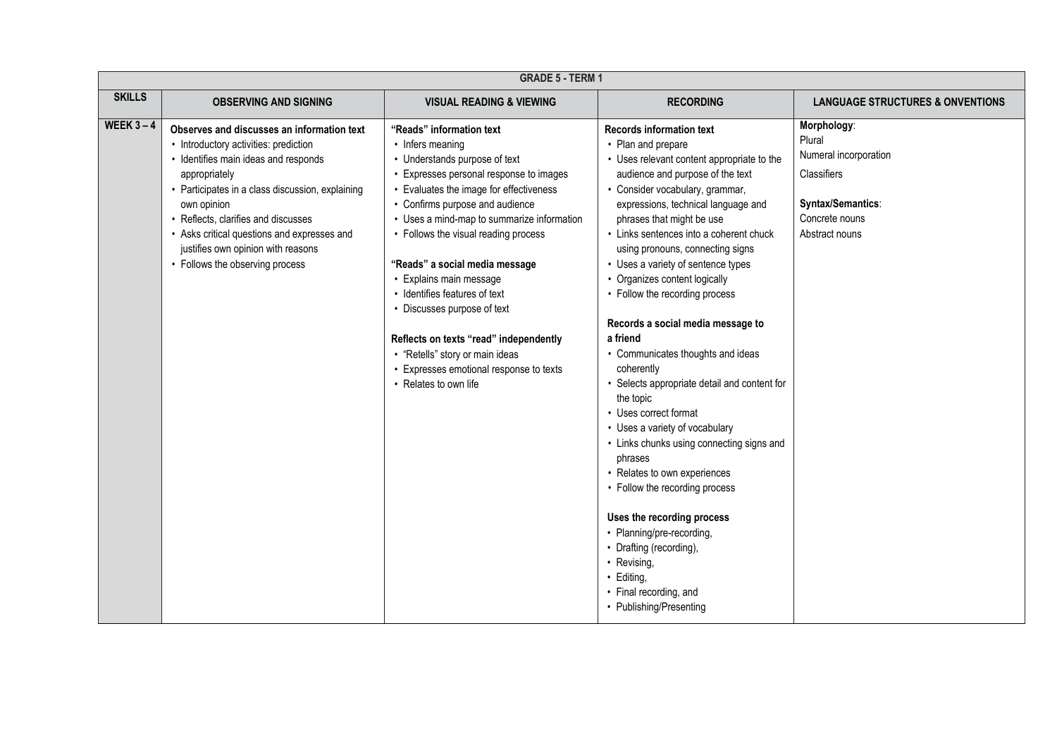|               | <b>GRADE 5 - TERM 1</b>                                                                                                                                                                                                                                                                                                                                                    |                                                                                                                                                                                                                                                                                                                                                                                                                                                                                                                                                                            |                                                                                                                                                                                                                                                                                                                                                                                                                                                                                                                                                                                                                                                                                                                                                                                                                                                                                                                                                                      |                                                                                                                        |
|---------------|----------------------------------------------------------------------------------------------------------------------------------------------------------------------------------------------------------------------------------------------------------------------------------------------------------------------------------------------------------------------------|----------------------------------------------------------------------------------------------------------------------------------------------------------------------------------------------------------------------------------------------------------------------------------------------------------------------------------------------------------------------------------------------------------------------------------------------------------------------------------------------------------------------------------------------------------------------------|----------------------------------------------------------------------------------------------------------------------------------------------------------------------------------------------------------------------------------------------------------------------------------------------------------------------------------------------------------------------------------------------------------------------------------------------------------------------------------------------------------------------------------------------------------------------------------------------------------------------------------------------------------------------------------------------------------------------------------------------------------------------------------------------------------------------------------------------------------------------------------------------------------------------------------------------------------------------|------------------------------------------------------------------------------------------------------------------------|
| <b>SKILLS</b> | <b>OBSERVING AND SIGNING</b>                                                                                                                                                                                                                                                                                                                                               | <b>VISUAL READING &amp; VIEWING</b>                                                                                                                                                                                                                                                                                                                                                                                                                                                                                                                                        | <b>RECORDING</b>                                                                                                                                                                                                                                                                                                                                                                                                                                                                                                                                                                                                                                                                                                                                                                                                                                                                                                                                                     | <b>LANGUAGE STRUCTURES &amp; ONVENTIONS</b>                                                                            |
| WEEK $3-4$    | Observes and discusses an information text<br>• Introductory activities: prediction<br>• Identifies main ideas and responds<br>appropriately<br>Participates in a class discussion, explaining<br>own opinion<br>Reflects, clarifies and discusses<br>• Asks critical questions and expresses and<br>justifies own opinion with reasons<br>• Follows the observing process | "Reads" information text<br>• Infers meaning<br>• Understands purpose of text<br>• Expresses personal response to images<br>• Evaluates the image for effectiveness<br>• Confirms purpose and audience<br>• Uses a mind-map to summarize information<br>• Follows the visual reading process<br>"Reads" a social media message<br>• Explains main message<br>• Identifies features of text<br>• Discusses purpose of text<br>Reflects on texts "read" independently<br>• "Retells" story or main ideas<br>• Expresses emotional response to texts<br>• Relates to own life | <b>Records information text</b><br>• Plan and prepare<br>• Uses relevant content appropriate to the<br>audience and purpose of the text<br>• Consider vocabulary, grammar,<br>expressions, technical language and<br>phrases that might be use<br>• Links sentences into a coherent chuck<br>using pronouns, connecting signs<br>• Uses a variety of sentence types<br>• Organizes content logically<br>• Follow the recording process<br>Records a social media message to<br>a friend<br>• Communicates thoughts and ideas<br>coherently<br>• Selects appropriate detail and content for<br>the topic<br>• Uses correct format<br>• Uses a variety of vocabulary<br>• Links chunks using connecting signs and<br>phrases<br>• Relates to own experiences<br>• Follow the recording process<br>Uses the recording process<br>• Planning/pre-recording,<br>• Drafting (recording),<br>• Revising,<br>• Editing,<br>• Final recording, and<br>• Publishing/Presenting | Morphology:<br>Plural<br>Numeral incorporation<br>Classifiers<br>Syntax/Semantics:<br>Concrete nouns<br>Abstract nouns |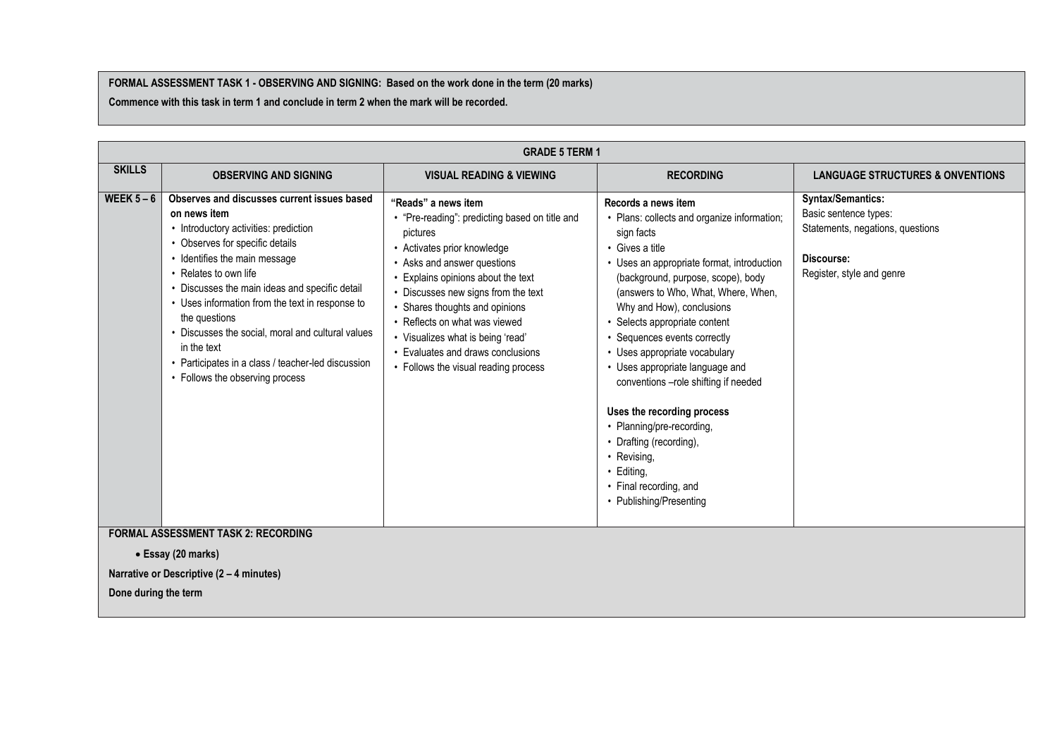#### **FORMAL ASSESSMENT TASK 1 - OBSERVING AND SIGNING: Based on the work done in the term (20 marks)**

**Commence with this task in term 1 and conclude in term 2 when the mark will be recorded.**

|                      | <b>GRADE 5 TERM 1</b>                                                                                                                                                                                                                                                                                                                                                                                                                                                              |                                                                                                                                                                                                                                                                                                                                                                                                                 |                                                                                                                                                                                                                                                                                                                                                                                                                                                                                                                                                                                                                  |                                                                                                                                  |
|----------------------|------------------------------------------------------------------------------------------------------------------------------------------------------------------------------------------------------------------------------------------------------------------------------------------------------------------------------------------------------------------------------------------------------------------------------------------------------------------------------------|-----------------------------------------------------------------------------------------------------------------------------------------------------------------------------------------------------------------------------------------------------------------------------------------------------------------------------------------------------------------------------------------------------------------|------------------------------------------------------------------------------------------------------------------------------------------------------------------------------------------------------------------------------------------------------------------------------------------------------------------------------------------------------------------------------------------------------------------------------------------------------------------------------------------------------------------------------------------------------------------------------------------------------------------|----------------------------------------------------------------------------------------------------------------------------------|
| <b>SKILLS</b>        | <b>OBSERVING AND SIGNING</b>                                                                                                                                                                                                                                                                                                                                                                                                                                                       | <b>VISUAL READING &amp; VIEWING</b>                                                                                                                                                                                                                                                                                                                                                                             | <b>RECORDING</b>                                                                                                                                                                                                                                                                                                                                                                                                                                                                                                                                                                                                 | <b>LANGUAGE STRUCTURES &amp; ONVENTIONS</b>                                                                                      |
| WEEK $5-6$           | Observes and discusses current issues based<br>on news item<br>• Introductory activities: prediction<br>• Observes for specific details<br>• Identifies the main message<br>• Relates to own life<br>• Discusses the main ideas and specific detail<br>• Uses information from the text in response to<br>the questions<br>• Discusses the social, moral and cultural values<br>in the text<br>Participates in a class / teacher-led discussion<br>• Follows the observing process | "Reads" a news item<br>• "Pre-reading": predicting based on title and<br>pictures<br>• Activates prior knowledge<br>• Asks and answer questions<br>Explains opinions about the text<br>• Discusses new signs from the text<br>• Shares thoughts and opinions<br>• Reflects on what was viewed<br>• Visualizes what is being 'read'<br>• Evaluates and draws conclusions<br>• Follows the visual reading process | Records a news item<br>• Plans: collects and organize information;<br>sign facts<br>• Gives a title<br>• Uses an appropriate format, introduction<br>(background, purpose, scope), body<br>(answers to Who, What, Where, When,<br>Why and How), conclusions<br>• Selects appropriate content<br>• Sequences events correctly<br>• Uses appropriate vocabulary<br>• Uses appropriate language and<br>conventions -role shifting if needed<br>Uses the recording process<br>• Planning/pre-recording,<br>• Drafting (recording),<br>• Revising,<br>• Editing,<br>• Final recording, and<br>• Publishing/Presenting | <b>Syntax/Semantics:</b><br>Basic sentence types:<br>Statements, negations, questions<br>Discourse:<br>Register, style and genre |
|                      | <b>FORMAL ASSESSMENT TASK 2: RECORDING</b><br>• Essay (20 marks)                                                                                                                                                                                                                                                                                                                                                                                                                   |                                                                                                                                                                                                                                                                                                                                                                                                                 |                                                                                                                                                                                                                                                                                                                                                                                                                                                                                                                                                                                                                  |                                                                                                                                  |
|                      | Narrative or Descriptive (2 - 4 minutes)                                                                                                                                                                                                                                                                                                                                                                                                                                           |                                                                                                                                                                                                                                                                                                                                                                                                                 |                                                                                                                                                                                                                                                                                                                                                                                                                                                                                                                                                                                                                  |                                                                                                                                  |
| Done during the term |                                                                                                                                                                                                                                                                                                                                                                                                                                                                                    |                                                                                                                                                                                                                                                                                                                                                                                                                 |                                                                                                                                                                                                                                                                                                                                                                                                                                                                                                                                                                                                                  |                                                                                                                                  |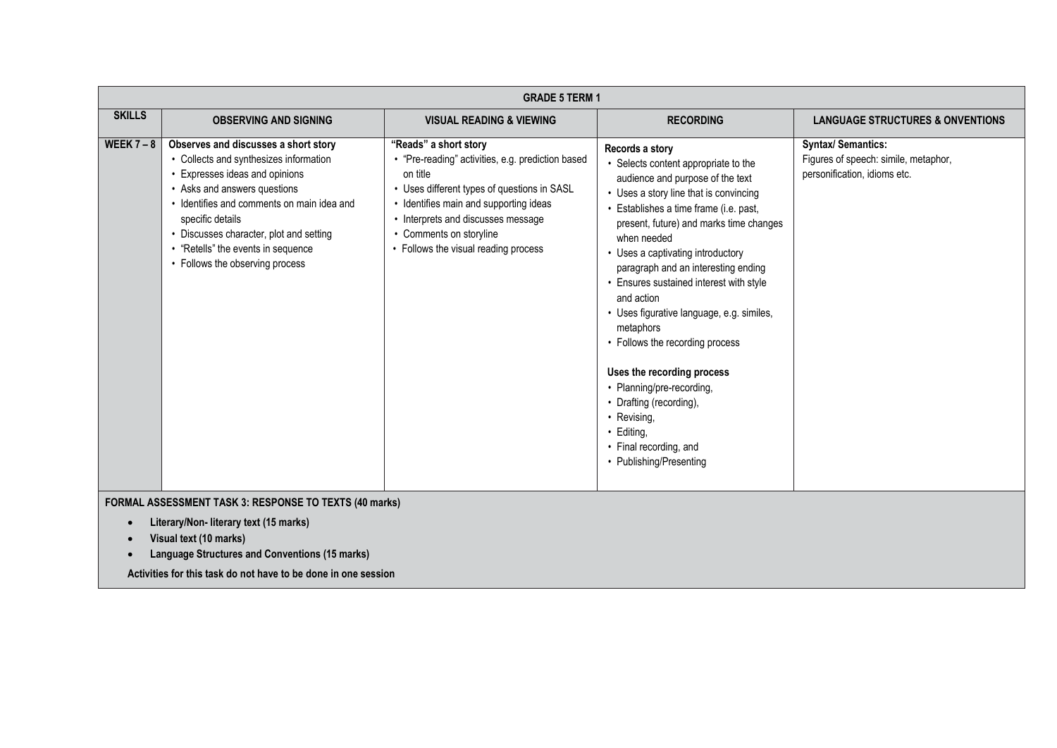|               |                                                                                                                                                                                                                                                                                                                                      | <b>GRADE 5 TERM 1</b>                                                                                                                                                                                                                                                            |                                                                                                                                                                                                                                                                                                                                                                                                                                                                                                                                                                                                                                                   |                                                                                                   |
|---------------|--------------------------------------------------------------------------------------------------------------------------------------------------------------------------------------------------------------------------------------------------------------------------------------------------------------------------------------|----------------------------------------------------------------------------------------------------------------------------------------------------------------------------------------------------------------------------------------------------------------------------------|---------------------------------------------------------------------------------------------------------------------------------------------------------------------------------------------------------------------------------------------------------------------------------------------------------------------------------------------------------------------------------------------------------------------------------------------------------------------------------------------------------------------------------------------------------------------------------------------------------------------------------------------------|---------------------------------------------------------------------------------------------------|
| <b>SKILLS</b> | <b>OBSERVING AND SIGNING</b>                                                                                                                                                                                                                                                                                                         | <b>VISUAL READING &amp; VIEWING</b>                                                                                                                                                                                                                                              | <b>RECORDING</b>                                                                                                                                                                                                                                                                                                                                                                                                                                                                                                                                                                                                                                  | <b>LANGUAGE STRUCTURES &amp; ONVENTIONS</b>                                                       |
| WEEK $7 - 8$  | Observes and discusses a short story<br>• Collects and synthesizes information<br>Expresses ideas and opinions<br>• Asks and answers questions<br>• Identifies and comments on main idea and<br>specific details<br>• Discusses character, plot and setting<br>• "Retells" the events in sequence<br>• Follows the observing process | "Reads" a short story<br>• "Pre-reading" activities, e.g. prediction based<br>on title<br>Uses different types of questions in SASL<br>Identifies main and supporting ideas<br>Interprets and discusses message<br>Comments on storyline<br>• Follows the visual reading process | Records a story<br>• Selects content appropriate to the<br>audience and purpose of the text<br>• Uses a story line that is convincing<br>Establishes a time frame (i.e. past,<br>present, future) and marks time changes<br>when needed<br>• Uses a captivating introductory<br>paragraph and an interesting ending<br>• Ensures sustained interest with style<br>and action<br>• Uses figurative language, e.g. similes,<br>metaphors<br>• Follows the recording process<br>Uses the recording process<br>• Planning/pre-recording,<br>• Drafting (recording),<br>• Revising,<br>· Editing,<br>• Final recording, and<br>• Publishing/Presenting | <b>Syntax/ Semantics:</b><br>Figures of speech: simile, metaphor,<br>personification, idioms etc. |
|               | <b>FORMAL ASSESSMENT TASK 3: RESPONSE TO TEXTS (40 marks)</b>                                                                                                                                                                                                                                                                        |                                                                                                                                                                                                                                                                                  |                                                                                                                                                                                                                                                                                                                                                                                                                                                                                                                                                                                                                                                   |                                                                                                   |

#### **FORMAL ASSESSMENT TASK 3: RESPONSE TO TEXTS (40 marks)**

- **Literary/Non- literary text (15 marks)**
- **Visual text (10 marks)**
- **Language Structures and Conventions (15 marks)**

**Activities for this task do not have to be done in one session**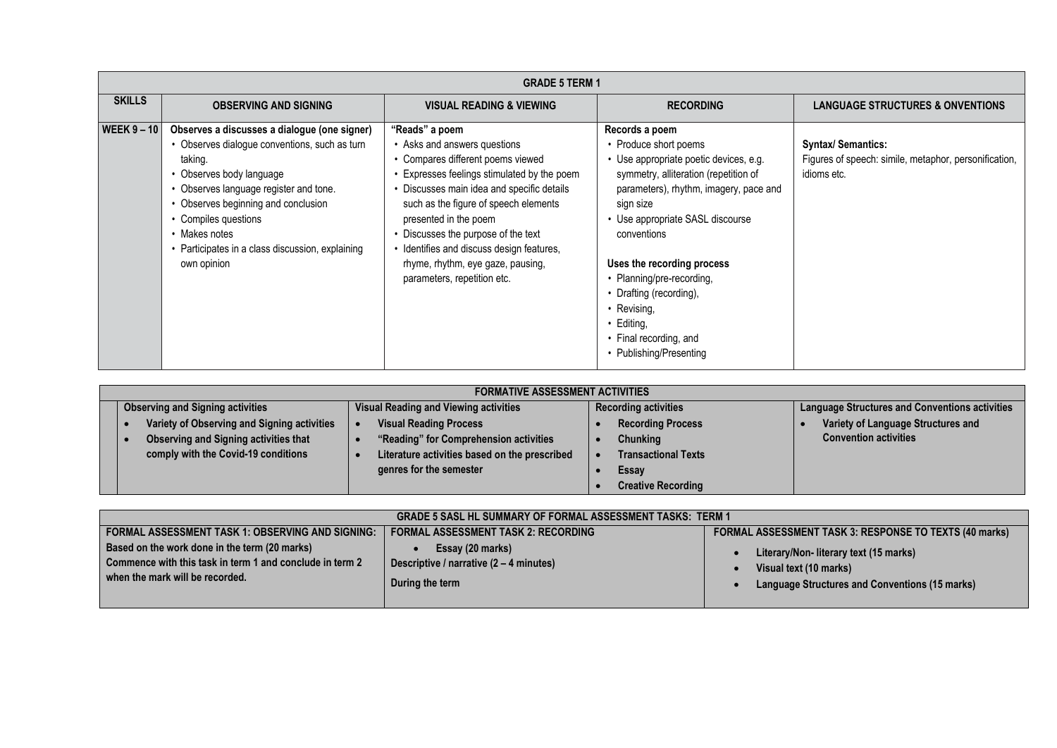|                                                                                                                                                                                                                                                                                   | <b>GRADE 5 TERM 1</b>                                                                                                                                                                                                                                                                                                             |                                                                                                                                                                                                                                                                                                                                                                                                          |                                                                                                                                                                                                                                                                                                                                                                                                        |  |                                                                                                                             |
|-----------------------------------------------------------------------------------------------------------------------------------------------------------------------------------------------------------------------------------------------------------------------------------|-----------------------------------------------------------------------------------------------------------------------------------------------------------------------------------------------------------------------------------------------------------------------------------------------------------------------------------|----------------------------------------------------------------------------------------------------------------------------------------------------------------------------------------------------------------------------------------------------------------------------------------------------------------------------------------------------------------------------------------------------------|--------------------------------------------------------------------------------------------------------------------------------------------------------------------------------------------------------------------------------------------------------------------------------------------------------------------------------------------------------------------------------------------------------|--|-----------------------------------------------------------------------------------------------------------------------------|
| <b>SKILLS</b>                                                                                                                                                                                                                                                                     | <b>OBSERVING AND SIGNING</b>                                                                                                                                                                                                                                                                                                      | <b>VISUAL READING &amp; VIEWING</b>                                                                                                                                                                                                                                                                                                                                                                      | <b>RECORDING</b>                                                                                                                                                                                                                                                                                                                                                                                       |  | <b>LANGUAGE STRUCTURES &amp; ONVENTIONS</b>                                                                                 |
| WEEK $9 - 10$                                                                                                                                                                                                                                                                     | Observes a discusses a dialogue (one signer)<br>• Observes dialogue conventions, such as turn<br>taking.<br>• Observes body language<br>• Observes language register and tone.<br>• Observes beginning and conclusion<br>• Compiles questions<br>• Makes notes<br>• Participates in a class discussion, explaining<br>own opinion | "Reads" a poem<br>• Asks and answers questions<br>• Compares different poems viewed<br>• Expresses feelings stimulated by the poem<br>• Discusses main idea and specific details<br>such as the figure of speech elements<br>presented in the poem<br>Discusses the purpose of the text<br>· Identifies and discuss design features,<br>rhyme, rhythm, eye gaze, pausing,<br>parameters, repetition etc. | Records a poem<br>• Produce short poems<br>· Use appropriate poetic devices, e.g.<br>symmetry, alliteration (repetition of<br>parameters), rhythm, imagery, pace and<br>sign size<br>• Use appropriate SASL discourse<br>conventions<br>Uses the recording process<br>• Planning/pre-recording,<br>Drafting (recording),<br>• Revising,<br>Editing,<br>• Final recording, and<br>Publishing/Presenting |  | <b>Syntax/ Semantics:</b><br>Figures of speech: simile, metaphor, personification,<br>idioms etc.                           |
|                                                                                                                                                                                                                                                                                   |                                                                                                                                                                                                                                                                                                                                   | <b>FORMATIVE ASSESSMENT ACTIVITIES</b>                                                                                                                                                                                                                                                                                                                                                                   |                                                                                                                                                                                                                                                                                                                                                                                                        |  |                                                                                                                             |
| $\bullet$                                                                                                                                                                                                                                                                         | <b>Observing and Signing activities</b><br>Variety of Observing and Signing activities<br><b>Observing and Signing activities that</b><br>comply with the Covid-19 conditions                                                                                                                                                     | <b>Visual Reading and Viewing activities</b><br><b>Visual Reading Process</b><br>"Reading" for Comprehension activities<br>$\bullet$<br>Literature activities based on the prescribed<br>genres for the semester                                                                                                                                                                                         | <b>Recording activities</b><br><b>Recording Process</b><br><b>Chunking</b><br>$\bullet$<br><b>Transactional Texts</b><br>$\bullet$<br>Essay<br>$\bullet$<br><b>Creative Recording</b>                                                                                                                                                                                                                  |  | <b>Language Structures and Conventions activities</b><br>Variety of Language Structures and<br><b>Convention activities</b> |
| <b>GRADE 5 SASL HL SUMMARY OF FORMAL ASSESSMENT TASKS: TERM 1</b>                                                                                                                                                                                                                 |                                                                                                                                                                                                                                                                                                                                   |                                                                                                                                                                                                                                                                                                                                                                                                          |                                                                                                                                                                                                                                                                                                                                                                                                        |  |                                                                                                                             |
| <b>FORMAL ASSESSMENT TASK 1: OBSERVING AND SIGNING:</b><br><b>FORMAL ASSESSMENT TASK 2: RECORDING</b><br>Based on the work done in the term (20 marks)<br>Essay (20 marks)<br>Commence with this task in term 1 and conclude in term 2<br>Descriptive / narrative (2 - 4 minutes) |                                                                                                                                                                                                                                                                                                                                   |                                                                                                                                                                                                                                                                                                                                                                                                          |                                                                                                                                                                                                                                                                                                                                                                                                        |  | FORMAL ASSESSMENT TASK 3: RESPONSE TO TEXTS (40 marks)<br>Literary/Non- literary text (15 marks)<br>Visual text (10 marks)  |

| <b>FORMATIVE ASSESSMENT ACTIVITIES</b>       |                                               |                             |                                                       |  |
|----------------------------------------------|-----------------------------------------------|-----------------------------|-------------------------------------------------------|--|
| <b>Observing and Signing activities</b>      | <b>Visual Reading and Viewing activities</b>  | <b>Recording activities</b> | <b>Language Structures and Conventions activities</b> |  |
| Variety of Observing and Signing activities  | <b>Visual Reading Process</b>                 | <b>Recording Process</b>    | Variety of Language Structures and                    |  |
| <b>Observing and Signing activities that</b> | "Reading" for Comprehension activities        | <b>Chunking</b>             | <b>Convention activities</b>                          |  |
| comply with the Covid-19 conditions          | Literature activities based on the prescribed | <b>Transactional Texts</b>  |                                                       |  |
|                                              | genres for the semester                       | Essay                       |                                                       |  |
|                                              |                                               | <b>Creative Recording</b>   |                                                       |  |

| <b>GRADE 5 SASL HL SUMMARY OF FORMAL ASSESSMENT TASKS: TERM 1</b>                                                                            |                                                                                          |                                                                                                                   |  |  |
|----------------------------------------------------------------------------------------------------------------------------------------------|------------------------------------------------------------------------------------------|-------------------------------------------------------------------------------------------------------------------|--|--|
| <b>FORMAL ASSESSMENT TASK 1: OBSERVING AND SIGNING:</b>                                                                                      | <b>FORMAL ASSESSMENT TASK 2: RECORDING</b>                                               | FORMAL ASSESSMENT TASK 3: RESPONSE TO TEXTS (40 marks)                                                            |  |  |
| Based on the work done in the term (20 marks)<br>Commence with this task in term 1 and conclude in term 2<br>when the mark will be recorded. | Essay (20 marks)<br>Descriptive / narrative $(2 - 4 \text{ minutes})$<br>During the term | Literary/Non-literary text (15 marks)<br>Visual text (10 marks)<br>Language Structures and Conventions (15 marks) |  |  |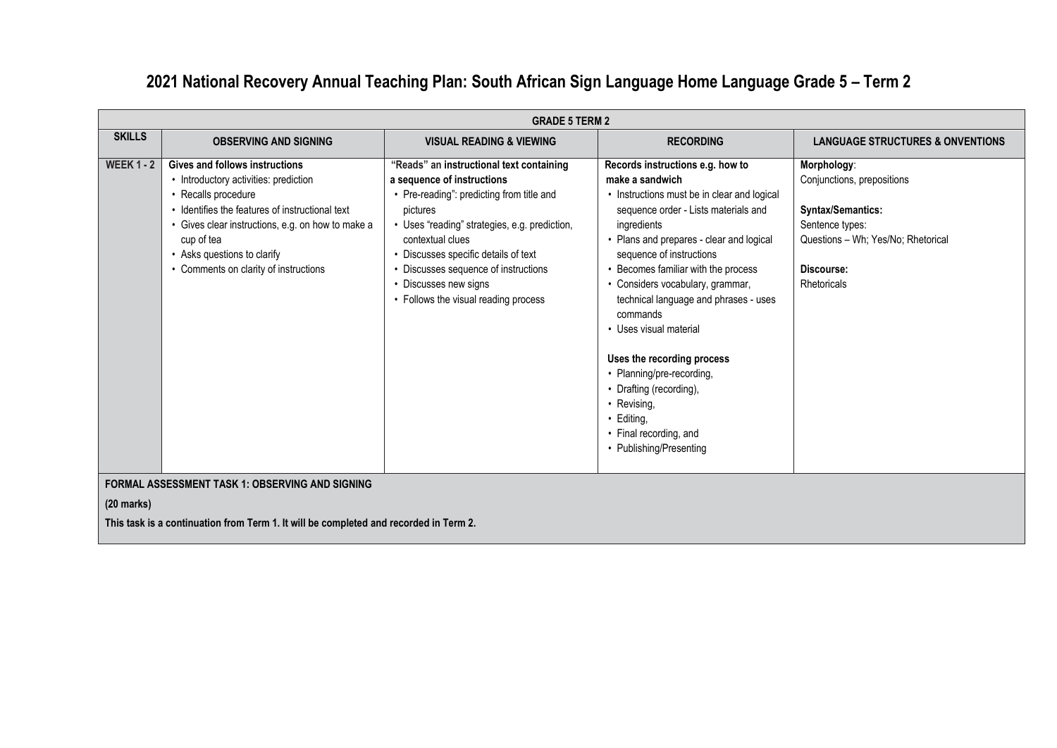## **2021 National Recovery Annual Teaching Plan: South African Sign Language Home Language Grade 5 – Term 2**

|                   | <b>GRADE 5 TERM 2</b>                                                                                                                                                                                                                                                                        |                                                                                                                                                                                                                                                                                                                                                 |                                                                                                                                                                                                                                                                                                                                                                                                                                                                                                                                                                     |                                                                                                                                                      |  |  |
|-------------------|----------------------------------------------------------------------------------------------------------------------------------------------------------------------------------------------------------------------------------------------------------------------------------------------|-------------------------------------------------------------------------------------------------------------------------------------------------------------------------------------------------------------------------------------------------------------------------------------------------------------------------------------------------|---------------------------------------------------------------------------------------------------------------------------------------------------------------------------------------------------------------------------------------------------------------------------------------------------------------------------------------------------------------------------------------------------------------------------------------------------------------------------------------------------------------------------------------------------------------------|------------------------------------------------------------------------------------------------------------------------------------------------------|--|--|
| <b>SKILLS</b>     | <b>OBSERVING AND SIGNING</b>                                                                                                                                                                                                                                                                 | <b>VISUAL READING &amp; VIEWING</b>                                                                                                                                                                                                                                                                                                             | <b>RECORDING</b>                                                                                                                                                                                                                                                                                                                                                                                                                                                                                                                                                    | <b>LANGUAGE STRUCTURES &amp; ONVENTIONS</b>                                                                                                          |  |  |
| <b>WEEK 1 - 2</b> | Gives and follows instructions<br>• Introductory activities: prediction<br>• Recalls procedure<br>• Identifies the features of instructional text<br>• Gives clear instructions, e.g. on how to make a<br>cup of tea<br>• Asks questions to clarify<br>• Comments on clarity of instructions | "Reads" an instructional text containing<br>a sequence of instructions<br>• Pre-reading": predicting from title and<br>pictures<br>• Uses "reading" strategies, e.g. prediction,<br>contextual clues<br>Discusses specific details of text<br>Discusses sequence of instructions<br>Discusses new signs<br>• Follows the visual reading process | Records instructions e.g. how to<br>make a sandwich<br>• Instructions must be in clear and logical<br>sequence order - Lists materials and<br>ingredients<br>• Plans and prepares - clear and logical<br>sequence of instructions<br>• Becomes familiar with the process<br>• Considers vocabulary, grammar,<br>technical language and phrases - uses<br>commands<br>• Uses visual material<br>Uses the recording process<br>• Planning/pre-recording,<br>• Drafting (recording),<br>• Revising,<br>• Editing,<br>• Final recording, and<br>• Publishing/Presenting | Morphology:<br>Conjunctions, prepositions<br>Syntax/Semantics:<br>Sentence types:<br>Questions - Wh; Yes/No; Rhetorical<br>Discourse:<br>Rhetoricals |  |  |
| $(20$ marks)      | <b>FORMAL ASSESSMENT TASK 1: OBSERVING AND SIGNING</b>                                                                                                                                                                                                                                       |                                                                                                                                                                                                                                                                                                                                                 |                                                                                                                                                                                                                                                                                                                                                                                                                                                                                                                                                                     |                                                                                                                                                      |  |  |

**This task is a continuation from Term 1. It will be completed and recorded in Term 2.**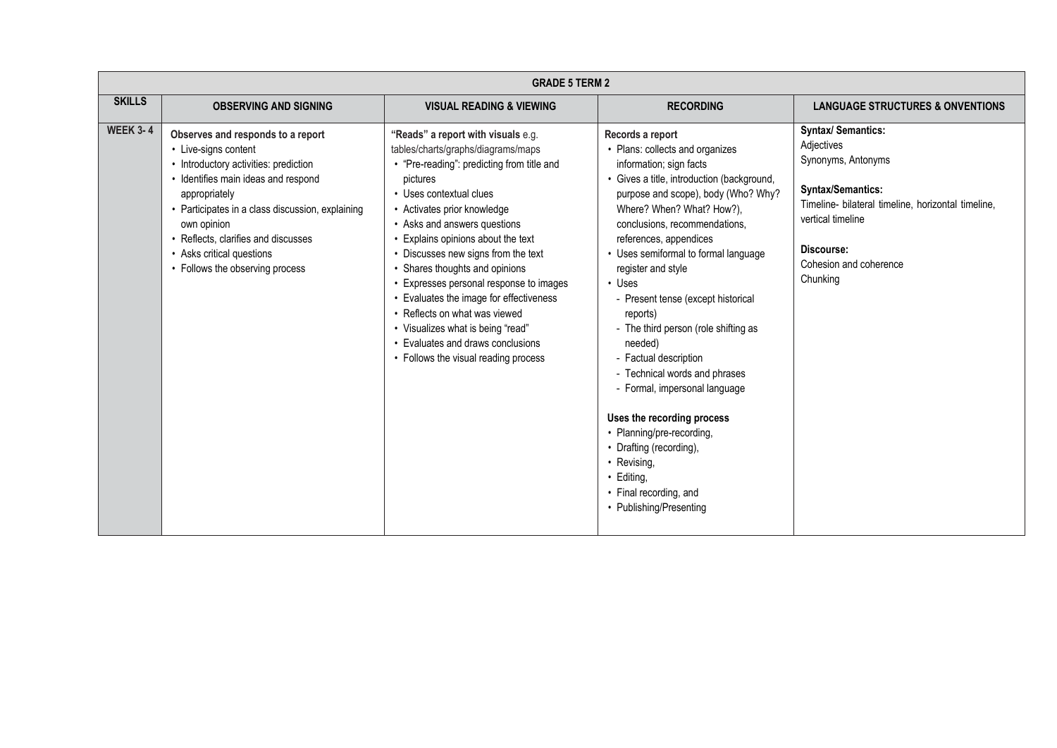|                 | <b>GRADE 5 TERM 2</b>                                                                                                                                                                                                                                                                                                                |                                                                                                                                                                                                                                                                                                                                                                                                                                                                                                                                                                                      |                                                                                                                                                                                                                                                                                                                                                                                                                                                                                                                                                                                                                                                                                                                   |                                                                                                                                                                                                                          |  |
|-----------------|--------------------------------------------------------------------------------------------------------------------------------------------------------------------------------------------------------------------------------------------------------------------------------------------------------------------------------------|--------------------------------------------------------------------------------------------------------------------------------------------------------------------------------------------------------------------------------------------------------------------------------------------------------------------------------------------------------------------------------------------------------------------------------------------------------------------------------------------------------------------------------------------------------------------------------------|-------------------------------------------------------------------------------------------------------------------------------------------------------------------------------------------------------------------------------------------------------------------------------------------------------------------------------------------------------------------------------------------------------------------------------------------------------------------------------------------------------------------------------------------------------------------------------------------------------------------------------------------------------------------------------------------------------------------|--------------------------------------------------------------------------------------------------------------------------------------------------------------------------------------------------------------------------|--|
| <b>SKILLS</b>   | <b>OBSERVING AND SIGNING</b>                                                                                                                                                                                                                                                                                                         | <b>VISUAL READING &amp; VIEWING</b>                                                                                                                                                                                                                                                                                                                                                                                                                                                                                                                                                  | <b>RECORDING</b>                                                                                                                                                                                                                                                                                                                                                                                                                                                                                                                                                                                                                                                                                                  | <b>LANGUAGE STRUCTURES &amp; ONVENTIONS</b>                                                                                                                                                                              |  |
| <b>WEEK 3-4</b> | Observes and responds to a report<br>• Live-signs content<br>• Introductory activities: prediction<br>· Identifies main ideas and respond<br>appropriately<br>• Participates in a class discussion, explaining<br>own opinion<br>• Reflects, clarifies and discusses<br>• Asks critical questions<br>• Follows the observing process | "Reads" a report with visuals e.g.<br>tables/charts/graphs/diagrams/maps<br>• "Pre-reading": predicting from title and<br>pictures<br>• Uses contextual clues<br>• Activates prior knowledge<br>• Asks and answers questions<br>• Explains opinions about the text<br>• Discusses new signs from the text<br>• Shares thoughts and opinions<br>• Expresses personal response to images<br>• Evaluates the image for effectiveness<br>• Reflects on what was viewed<br>• Visualizes what is being "read"<br>• Evaluates and draws conclusions<br>• Follows the visual reading process | Records a report<br>• Plans: collects and organizes<br>information; sign facts<br>• Gives a title, introduction (background,<br>purpose and scope), body (Who? Why?<br>Where? When? What? How?),<br>conclusions, recommendations,<br>references, appendices<br>• Uses semiformal to formal language<br>register and style<br>$\cdot$ Uses<br>- Present tense (except historical<br>reports)<br>- The third person (role shifting as<br>needed)<br>- Factual description<br>- Technical words and phrases<br>- Formal, impersonal language<br>Uses the recording process<br>• Planning/pre-recording,<br>• Drafting (recording),<br>• Revising,<br>• Editing,<br>• Final recording, and<br>• Publishing/Presenting | <b>Syntax/ Semantics:</b><br>Adjectives<br>Synonyms, Antonyms<br><b>Syntax/Semantics:</b><br>Timeline- bilateral timeline, horizontal timeline,<br>vertical timeline<br>Discourse:<br>Cohesion and coherence<br>Chunking |  |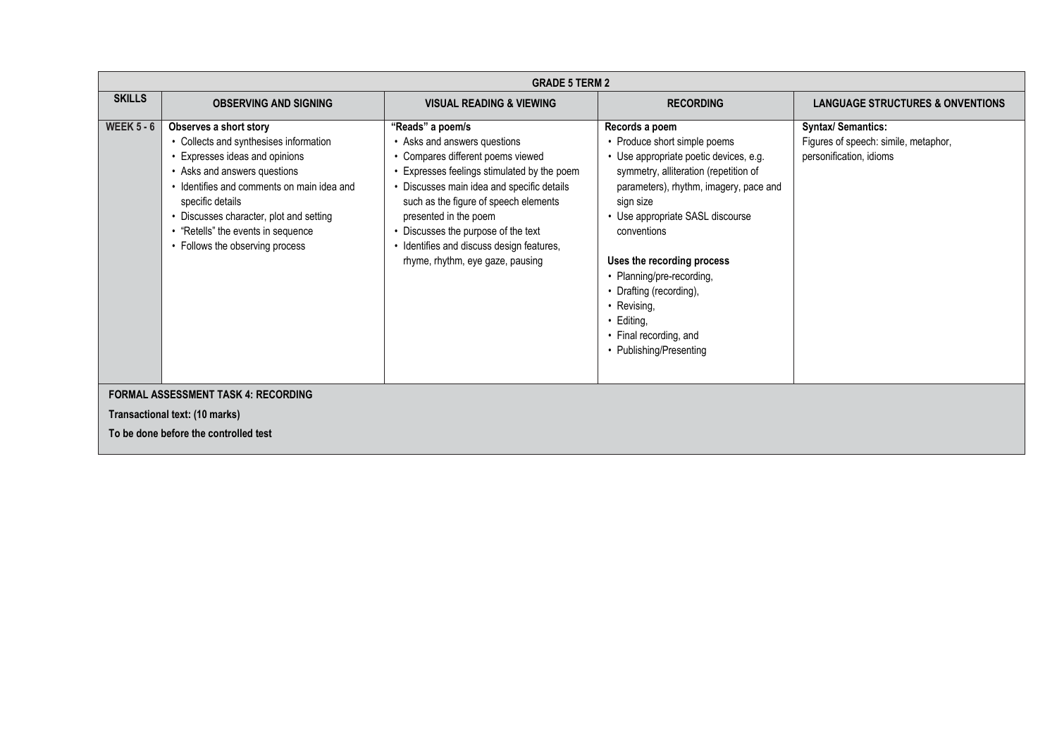|                                            | <b>GRADE 5 TERM 2</b>                                                                                                                                                                                                                                                                                                    |                                                                                                                                                                                                                                                                                                                                                                          |                                                                                                                                                                                                                                                                                                                                                                                                                   |                                                                                              |  |
|--------------------------------------------|--------------------------------------------------------------------------------------------------------------------------------------------------------------------------------------------------------------------------------------------------------------------------------------------------------------------------|--------------------------------------------------------------------------------------------------------------------------------------------------------------------------------------------------------------------------------------------------------------------------------------------------------------------------------------------------------------------------|-------------------------------------------------------------------------------------------------------------------------------------------------------------------------------------------------------------------------------------------------------------------------------------------------------------------------------------------------------------------------------------------------------------------|----------------------------------------------------------------------------------------------|--|
| <b>SKILLS</b>                              | <b>OBSERVING AND SIGNING</b>                                                                                                                                                                                                                                                                                             | <b>VISUAL READING &amp; VIEWING</b>                                                                                                                                                                                                                                                                                                                                      | <b>RECORDING</b>                                                                                                                                                                                                                                                                                                                                                                                                  | <b>LANGUAGE STRUCTURES &amp; ONVENTIONS</b>                                                  |  |
| <b>WEEK 5 - 6</b>                          | Observes a short story<br>• Collects and synthesises information<br>• Expresses ideas and opinions<br>• Asks and answers questions<br>• Identifies and comments on main idea and<br>specific details<br>• Discusses character, plot and setting<br>• "Retells" the events in sequence<br>• Follows the observing process | "Reads" a poem/s<br>• Asks and answers questions<br>• Compares different poems viewed<br>Expresses feelings stimulated by the poem<br>Discusses main idea and specific details<br>such as the figure of speech elements<br>presented in the poem<br>• Discusses the purpose of the text<br>• Identifies and discuss design features,<br>rhyme, rhythm, eye gaze, pausing | Records a poem<br>• Produce short simple poems<br>• Use appropriate poetic devices, e.g.<br>symmetry, alliteration (repetition of<br>parameters), rhythm, imagery, pace and<br>sign size<br>• Use appropriate SASL discourse<br>conventions<br>Uses the recording process<br>• Planning/pre-recording,<br>• Drafting (recording),<br>• Revising,<br>Editing,<br>• Final recording, and<br>• Publishing/Presenting | <b>Syntax/ Semantics:</b><br>Figures of speech: simile, metaphor,<br>personification, idioms |  |
| <b>FORMAL ASSESSMENT TASK 4: RECORDING</b> |                                                                                                                                                                                                                                                                                                                          |                                                                                                                                                                                                                                                                                                                                                                          |                                                                                                                                                                                                                                                                                                                                                                                                                   |                                                                                              |  |
|                                            | Transactional text: (10 marks)                                                                                                                                                                                                                                                                                           |                                                                                                                                                                                                                                                                                                                                                                          |                                                                                                                                                                                                                                                                                                                                                                                                                   |                                                                                              |  |
|                                            | To be done before the controlled test                                                                                                                                                                                                                                                                                    |                                                                                                                                                                                                                                                                                                                                                                          |                                                                                                                                                                                                                                                                                                                                                                                                                   |                                                                                              |  |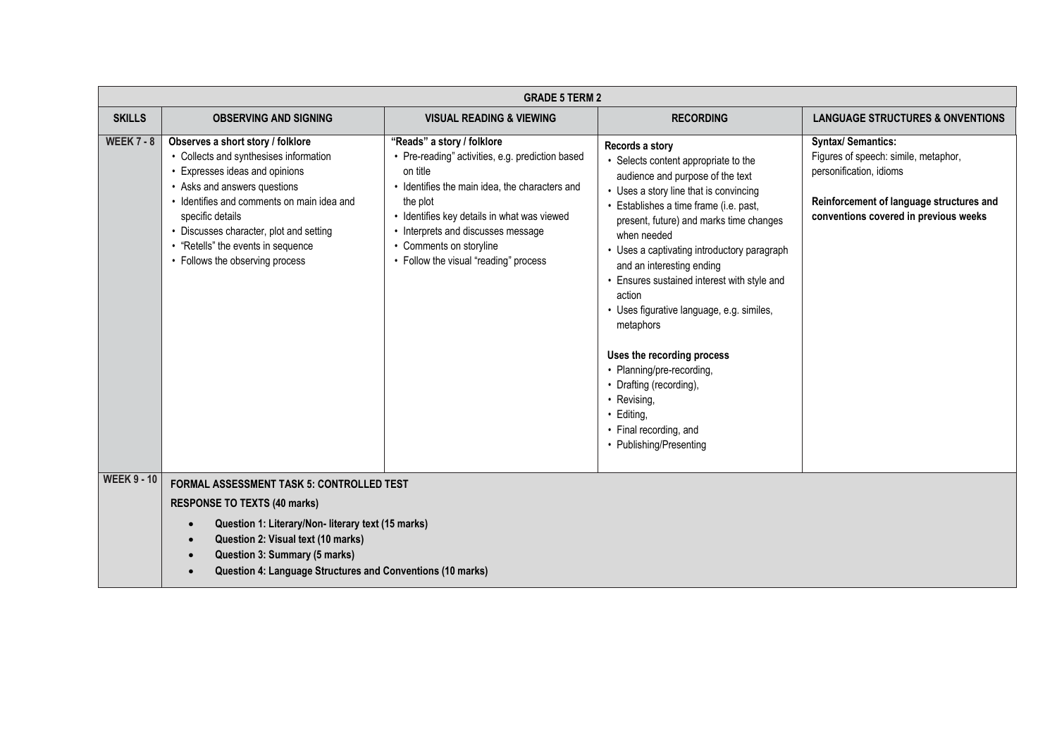|                    | <b>GRADE 5 TERM 2</b>                                                                                                                                                                                                                                                                                                               |                                                                                                                                                                                                                                                                                                                 |                                                                                                                                                                                                                                                                                                                                                                                                                                                                                                                                                                                                                  |                                                                                                                                                                                   |  |
|--------------------|-------------------------------------------------------------------------------------------------------------------------------------------------------------------------------------------------------------------------------------------------------------------------------------------------------------------------------------|-----------------------------------------------------------------------------------------------------------------------------------------------------------------------------------------------------------------------------------------------------------------------------------------------------------------|------------------------------------------------------------------------------------------------------------------------------------------------------------------------------------------------------------------------------------------------------------------------------------------------------------------------------------------------------------------------------------------------------------------------------------------------------------------------------------------------------------------------------------------------------------------------------------------------------------------|-----------------------------------------------------------------------------------------------------------------------------------------------------------------------------------|--|
| <b>SKILLS</b>      | <b>OBSERVING AND SIGNING</b>                                                                                                                                                                                                                                                                                                        | <b>VISUAL READING &amp; VIEWING</b>                                                                                                                                                                                                                                                                             | <b>RECORDING</b>                                                                                                                                                                                                                                                                                                                                                                                                                                                                                                                                                                                                 | <b>LANGUAGE STRUCTURES &amp; ONVENTIONS</b>                                                                                                                                       |  |
| <b>WEEK 7 - 8</b>  | Observes a short story / folklore<br>• Collects and synthesises information<br>• Expresses ideas and opinions<br>• Asks and answers questions<br>• Identifies and comments on main idea and<br>specific details<br>• Discusses character, plot and setting<br>• "Retells" the events in sequence<br>• Follows the observing process | "Reads" a story / folklore<br>• Pre-reading" activities, e.g. prediction based<br>on title<br>Identifies the main idea, the characters and<br>the plot<br>• Identifies key details in what was viewed<br>• Interprets and discusses message<br>• Comments on storyline<br>• Follow the visual "reading" process | Records a story<br>• Selects content appropriate to the<br>audience and purpose of the text<br>• Uses a story line that is convincing<br>• Establishes a time frame (i.e. past,<br>present, future) and marks time changes<br>when needed<br>• Uses a captivating introductory paragraph<br>and an interesting ending<br>• Ensures sustained interest with style and<br>action<br>• Uses figurative language, e.g. similes,<br>metaphors<br>Uses the recording process<br>• Planning/pre-recording,<br>• Drafting (recording),<br>• Revising,<br>· Editing,<br>• Final recording, and<br>• Publishing/Presenting | <b>Syntax/ Semantics:</b><br>Figures of speech: simile, metaphor,<br>personification, idioms<br>Reinforcement of language structures and<br>conventions covered in previous weeks |  |
| <b>WEEK 9 - 10</b> | <b>FORMAL ASSESSMENT TASK 5: CONTROLLED TEST</b>                                                                                                                                                                                                                                                                                    |                                                                                                                                                                                                                                                                                                                 |                                                                                                                                                                                                                                                                                                                                                                                                                                                                                                                                                                                                                  |                                                                                                                                                                                   |  |
|                    | <b>RESPONSE TO TEXTS (40 marks)</b>                                                                                                                                                                                                                                                                                                 |                                                                                                                                                                                                                                                                                                                 |                                                                                                                                                                                                                                                                                                                                                                                                                                                                                                                                                                                                                  |                                                                                                                                                                                   |  |
|                    | Question 1: Literary/Non- literary text (15 marks)<br>$\bullet$<br>Question 2: Visual text (10 marks)<br>$\bullet$                                                                                                                                                                                                                  |                                                                                                                                                                                                                                                                                                                 |                                                                                                                                                                                                                                                                                                                                                                                                                                                                                                                                                                                                                  |                                                                                                                                                                                   |  |
|                    | Question 3: Summary (5 marks)<br>$\bullet$                                                                                                                                                                                                                                                                                          |                                                                                                                                                                                                                                                                                                                 |                                                                                                                                                                                                                                                                                                                                                                                                                                                                                                                                                                                                                  |                                                                                                                                                                                   |  |
|                    | Question 4: Language Structures and Conventions (10 marks)<br>$\bullet$                                                                                                                                                                                                                                                             |                                                                                                                                                                                                                                                                                                                 |                                                                                                                                                                                                                                                                                                                                                                                                                                                                                                                                                                                                                  |                                                                                                                                                                                   |  |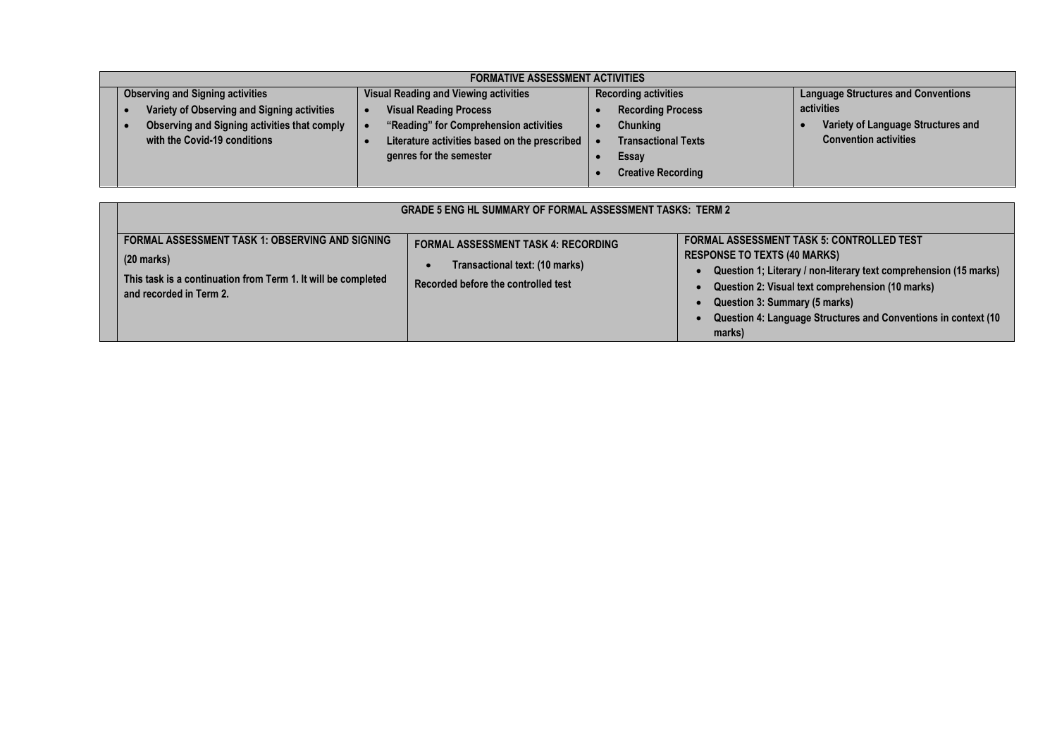| <b>FORMATIVE ASSESSMENT ACTIVITIES</b>       |                                               |                             |                                            |  |
|----------------------------------------------|-----------------------------------------------|-----------------------------|--------------------------------------------|--|
| <b>Observing and Signing activities</b>      | <b>Visual Reading and Viewing activities</b>  | <b>Recording activities</b> | <b>Language Structures and Conventions</b> |  |
| Variety of Observing and Signing activities  | <b>Visual Reading Process</b>                 | <b>Recording Process</b>    | activities                                 |  |
| Observing and Signing activities that comply | "Reading" for Comprehension activities        | <b>Chunking</b>             | Variety of Language Structures and         |  |
| with the Covid-19 conditions                 | Literature activities based on the prescribed | <b>Transactional Texts</b>  | <b>Convention activities</b>               |  |
|                                              | genres for the semester                       | Essay                       |                                            |  |
|                                              |                                               | <b>Creative Recording</b>   |                                            |  |

| <b>GRADE 5 ENG HL SUMMARY OF FORMAL ASSESSMENT TASKS: TERM 2</b>                                                                                                   |                                                                                                                     |                                                                                                                                                                                                                                                                                                                               |  |  |  |  |
|--------------------------------------------------------------------------------------------------------------------------------------------------------------------|---------------------------------------------------------------------------------------------------------------------|-------------------------------------------------------------------------------------------------------------------------------------------------------------------------------------------------------------------------------------------------------------------------------------------------------------------------------|--|--|--|--|
| <b>FORMAL ASSESSMENT TASK 1: OBSERVING AND SIGNING</b><br>$(20$ marks)<br>This task is a continuation from Term 1. It will be completed<br>and recorded in Term 2. | <b>FORMAL ASSESSMENT TASK 4: RECORDING</b><br>Transactional text: (10 marks)<br>Recorded before the controlled test | <b>FORMAL ASSESSMENT TASK 5: CONTROLLED TEST</b><br><b>RESPONSE TO TEXTS (40 MARKS)</b><br>Question 1; Literary / non-literary text comprehension (15 marks)<br>Question 2: Visual text comprehension (10 marks)<br>Question 3: Summary (5 marks)<br>Question 4: Language Structures and Conventions in context (10<br>marks) |  |  |  |  |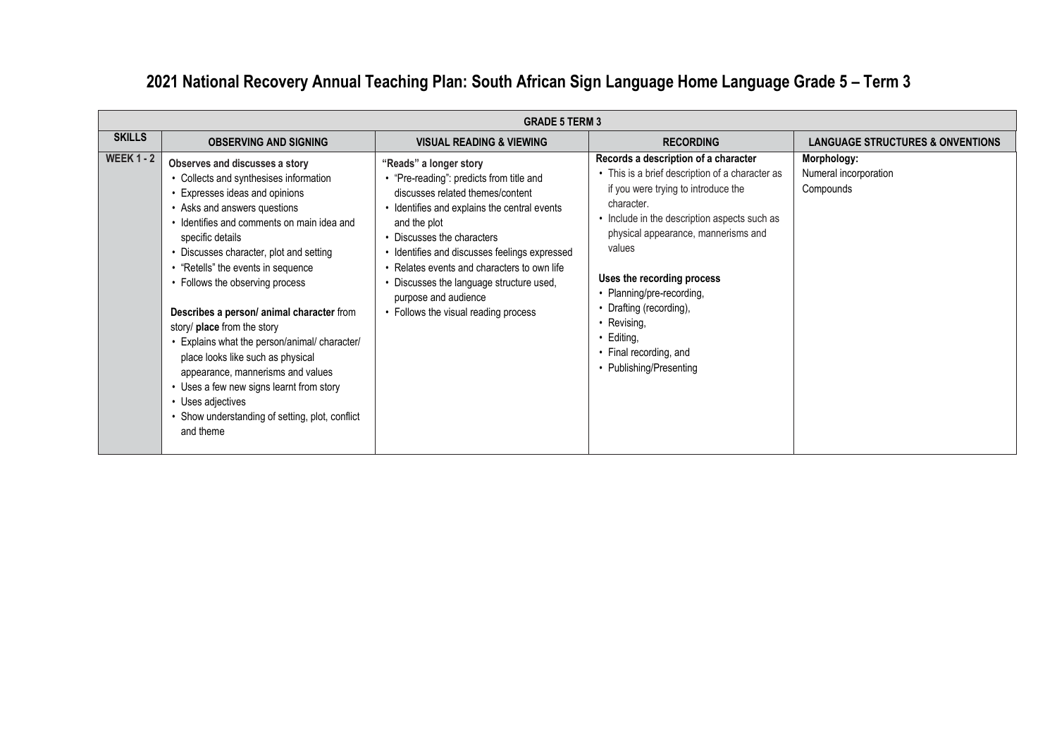# **2021 National Recovery Annual Teaching Plan: South African Sign Language Home Language Grade 5 – Term 3**

|                   | <b>GRADE 5 TERM 3</b>                                                                                                                                                                                                                                                                                                                                                                                                                                                                                                                                                                                                                                            |                                                                                                                                                                                                                                                                                                                                                                                                                |                                                                                                                                                                                                                                                                                                                                                                                                                     |                                                   |
|-------------------|------------------------------------------------------------------------------------------------------------------------------------------------------------------------------------------------------------------------------------------------------------------------------------------------------------------------------------------------------------------------------------------------------------------------------------------------------------------------------------------------------------------------------------------------------------------------------------------------------------------------------------------------------------------|----------------------------------------------------------------------------------------------------------------------------------------------------------------------------------------------------------------------------------------------------------------------------------------------------------------------------------------------------------------------------------------------------------------|---------------------------------------------------------------------------------------------------------------------------------------------------------------------------------------------------------------------------------------------------------------------------------------------------------------------------------------------------------------------------------------------------------------------|---------------------------------------------------|
| <b>SKILLS</b>     | <b>OBSERVING AND SIGNING</b>                                                                                                                                                                                                                                                                                                                                                                                                                                                                                                                                                                                                                                     | <b>VISUAL READING &amp; VIEWING</b>                                                                                                                                                                                                                                                                                                                                                                            | <b>RECORDING</b>                                                                                                                                                                                                                                                                                                                                                                                                    | <b>LANGUAGE STRUCTURES &amp; ONVENTIONS</b>       |
| <b>WEEK 1 - 2</b> | Observes and discusses a story<br>• Collects and synthesises information<br>• Expresses ideas and opinions<br>• Asks and answers questions<br>Identifies and comments on main idea and<br>specific details<br>• Discusses character, plot and setting<br>"Retells" the events in sequence<br>• Follows the observing process<br>Describes a person/ animal character from<br>story/ place from the story<br>Explains what the person/animal/ character/<br>place looks like such as physical<br>appearance, mannerisms and values<br>• Uses a few new signs learnt from story<br>• Uses adjectives<br>Show understanding of setting, plot, conflict<br>and theme | "Reads" a longer story<br>• "Pre-reading": predicts from title and<br>discusses related themes/content<br>• Identifies and explains the central events<br>and the plot<br>• Discusses the characters<br>Identifies and discusses feelings expressed<br>• Relates events and characters to own life<br>• Discusses the language structure used,<br>purpose and audience<br>• Follows the visual reading process | Records a description of a character<br>• This is a brief description of a character as<br>if you were trying to introduce the<br>character.<br>• Include in the description aspects such as<br>physical appearance, mannerisms and<br>values<br>Uses the recording process<br>• Planning/pre-recording,<br>• Drafting (recording),<br>• Revising,<br>Editing,<br>• Final recording, and<br>• Publishing/Presenting | Morphology:<br>Numeral incorporation<br>Compounds |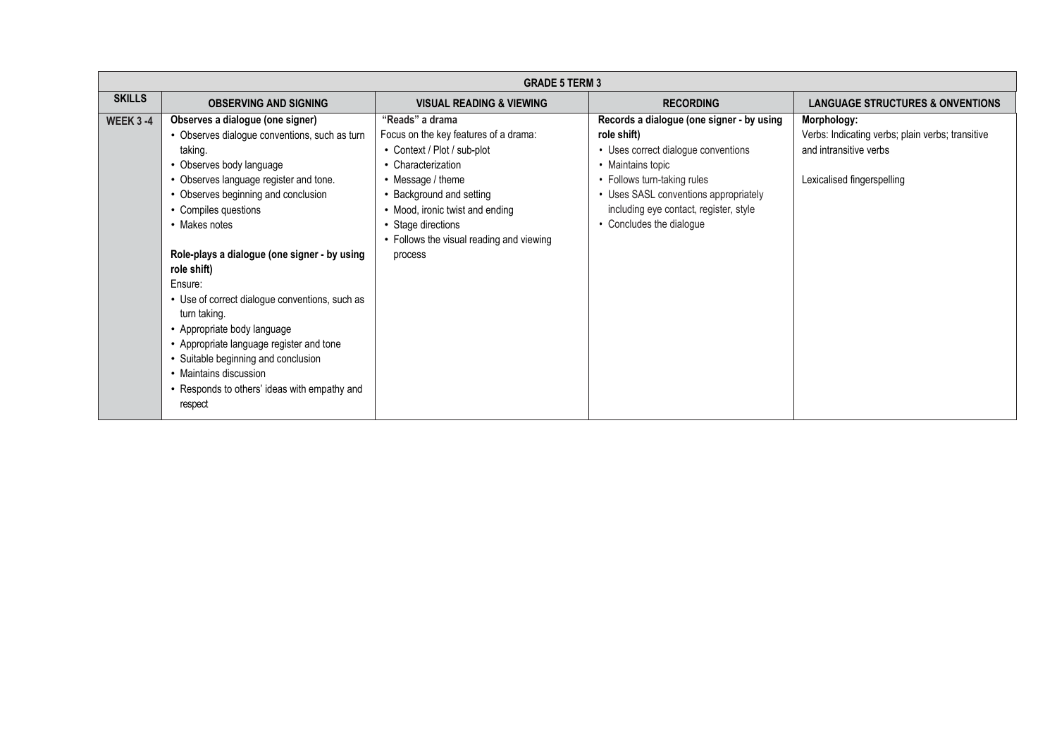|                  | <b>GRADE 5 TERM 3</b>                                                                                                                                                                                                                                                                                                                                                                                                                                                                                                                                                                                 |                                                                                                                                                                                                                                                                                |                                                                                                                                                                                                                                                                    |                                                                                                                         |
|------------------|-------------------------------------------------------------------------------------------------------------------------------------------------------------------------------------------------------------------------------------------------------------------------------------------------------------------------------------------------------------------------------------------------------------------------------------------------------------------------------------------------------------------------------------------------------------------------------------------------------|--------------------------------------------------------------------------------------------------------------------------------------------------------------------------------------------------------------------------------------------------------------------------------|--------------------------------------------------------------------------------------------------------------------------------------------------------------------------------------------------------------------------------------------------------------------|-------------------------------------------------------------------------------------------------------------------------|
| <b>SKILLS</b>    | <b>OBSERVING AND SIGNING</b>                                                                                                                                                                                                                                                                                                                                                                                                                                                                                                                                                                          | <b>VISUAL READING &amp; VIEWING</b>                                                                                                                                                                                                                                            | <b>RECORDING</b>                                                                                                                                                                                                                                                   | <b>LANGUAGE STRUCTURES &amp; ONVENTIONS</b>                                                                             |
| <b>WEEK 3 -4</b> | Observes a dialogue (one signer)<br>• Observes dialogue conventions, such as turn<br>taking.<br>• Observes body language<br>• Observes language register and tone.<br>• Observes beginning and conclusion<br>• Compiles questions<br>• Makes notes<br>Role-plays a dialogue (one signer - by using<br>role shift)<br>Ensure:<br>• Use of correct dialogue conventions, such as<br>turn taking.<br>• Appropriate body language<br>• Appropriate language register and tone<br>• Suitable beginning and conclusion<br>• Maintains discussion<br>• Responds to others' ideas with empathy and<br>respect | "Reads" a drama<br>Focus on the key features of a drama:<br>• Context / Plot / sub-plot<br>• Characterization<br>• Message / theme<br>• Background and setting<br>• Mood, ironic twist and ending<br>• Stage directions<br>• Follows the visual reading and viewing<br>process | Records a dialogue (one signer - by using<br>role shift)<br>• Uses correct dialogue conventions<br>• Maintains topic<br>• Follows turn-taking rules<br>• Uses SASL conventions appropriately<br>including eye contact, register, style<br>• Concludes the dialogue | Morphology:<br>Verbs: Indicating verbs; plain verbs; transitive<br>and intransitive verbs<br>Lexicalised fingerspelling |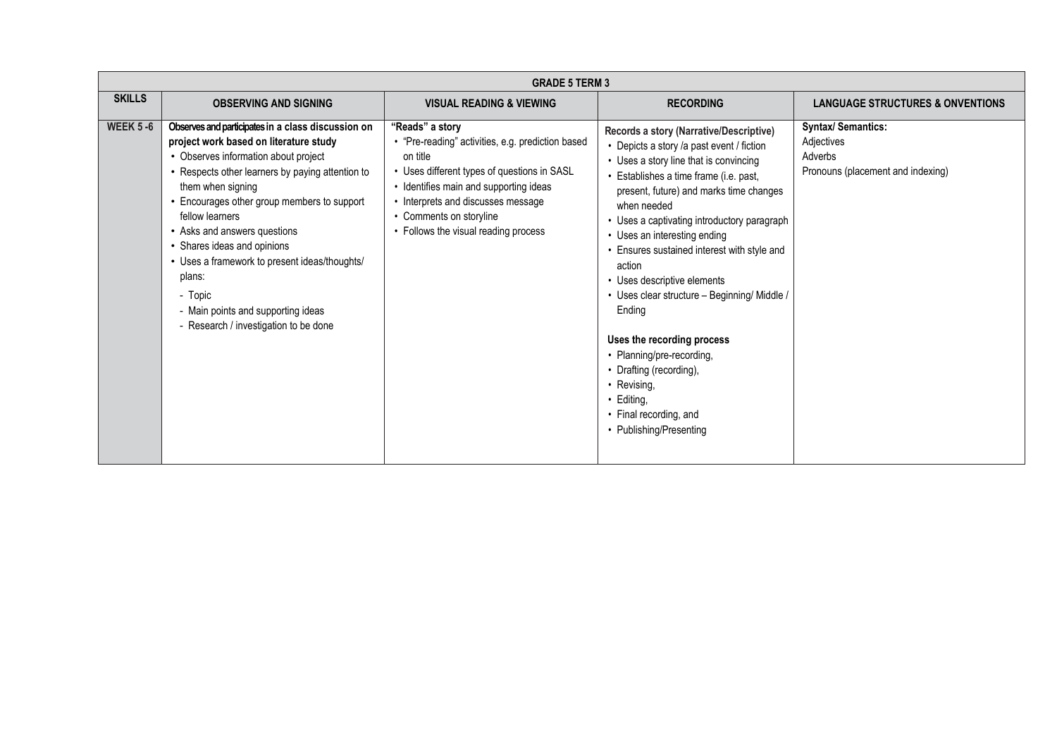|                  |                                                                                                                                                                                                                                                                                                                                                                                                                                                                                                     | <b>GRADE 5 TERM 3</b>                                                                                                                                                                                                                                                              |                                                                                                                                                                                                                                                                                                                                                                                                                                                                                                                                                                                                                                             |                                                                                         |
|------------------|-----------------------------------------------------------------------------------------------------------------------------------------------------------------------------------------------------------------------------------------------------------------------------------------------------------------------------------------------------------------------------------------------------------------------------------------------------------------------------------------------------|------------------------------------------------------------------------------------------------------------------------------------------------------------------------------------------------------------------------------------------------------------------------------------|---------------------------------------------------------------------------------------------------------------------------------------------------------------------------------------------------------------------------------------------------------------------------------------------------------------------------------------------------------------------------------------------------------------------------------------------------------------------------------------------------------------------------------------------------------------------------------------------------------------------------------------------|-----------------------------------------------------------------------------------------|
| <b>SKILLS</b>    | <b>OBSERVING AND SIGNING</b>                                                                                                                                                                                                                                                                                                                                                                                                                                                                        | <b>VISUAL READING &amp; VIEWING</b>                                                                                                                                                                                                                                                | <b>RECORDING</b>                                                                                                                                                                                                                                                                                                                                                                                                                                                                                                                                                                                                                            | <b>LANGUAGE STRUCTURES &amp; ONVENTIONS</b>                                             |
| <b>WEEK 5 -6</b> | Observes and participates in a class discussion on<br>project work based on literature study<br>• Observes information about project<br>• Respects other learners by paying attention to<br>them when signing<br>• Encourages other group members to support<br>fellow learners<br>• Asks and answers questions<br>• Shares ideas and opinions<br>• Uses a framework to present ideas/thoughts/<br>plans:<br>- Topic<br>- Main points and supporting ideas<br>- Research / investigation to be done | "Reads" a story<br>• "Pre-reading" activities, e.g. prediction based<br>on title<br>• Uses different types of questions in SASL<br>• Identifies main and supporting ideas<br>• Interprets and discusses message<br>• Comments on storyline<br>• Follows the visual reading process | Records a story (Narrative/Descriptive)<br>• Depicts a story /a past event / fiction<br>• Uses a story line that is convincing<br>• Establishes a time frame (i.e. past,<br>present, future) and marks time changes<br>when needed<br>• Uses a captivating introductory paragraph<br>• Uses an interesting ending<br>• Ensures sustained interest with style and<br>action<br>• Uses descriptive elements<br>• Uses clear structure - Beginning/ Middle /<br>Ending<br>Uses the recording process<br>• Planning/pre-recording,<br>• Drafting (recording),<br>• Revising,<br>• Editing,<br>• Final recording, and<br>• Publishing/Presenting | <b>Syntax/ Semantics:</b><br>Adjectives<br>Adverbs<br>Pronouns (placement and indexing) |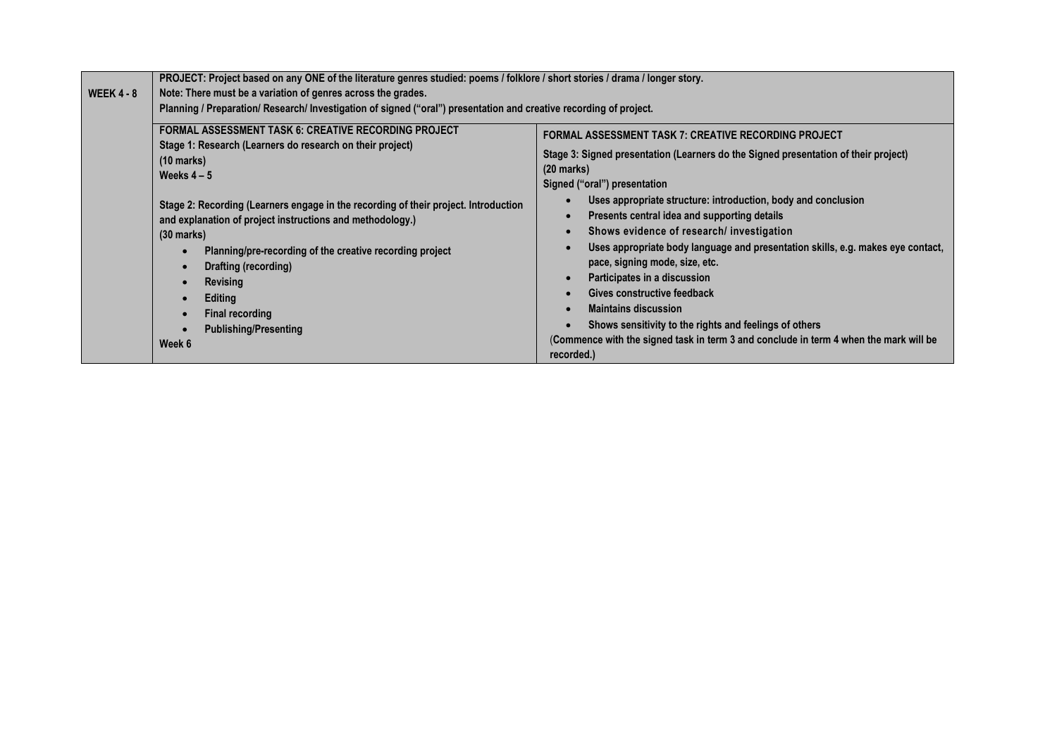|              | PROJECT: Project based on any ONE of the literature genres studied: poems / folklore / short stories / drama / longer story.                                                                                                                                                                                                                         |                                                                                                                                                                                                                                                                                                                                                                                                                                                                                                                                                                                                                              |  |  |  |
|--------------|------------------------------------------------------------------------------------------------------------------------------------------------------------------------------------------------------------------------------------------------------------------------------------------------------------------------------------------------------|------------------------------------------------------------------------------------------------------------------------------------------------------------------------------------------------------------------------------------------------------------------------------------------------------------------------------------------------------------------------------------------------------------------------------------------------------------------------------------------------------------------------------------------------------------------------------------------------------------------------------|--|--|--|
| WEEK $4 - 8$ | Note: There must be a variation of genres across the grades.<br>Planning / Preparation/ Research/ Investigation of signed ("oral") presentation and creative recording of project.                                                                                                                                                                   |                                                                                                                                                                                                                                                                                                                                                                                                                                                                                                                                                                                                                              |  |  |  |
|              |                                                                                                                                                                                                                                                                                                                                                      |                                                                                                                                                                                                                                                                                                                                                                                                                                                                                                                                                                                                                              |  |  |  |
|              | <b>FORMAL ASSESSMENT TASK 6: CREATIVE RECORDING PROJECT</b><br>Stage 1: Research (Learners do research on their project)<br>(10 marks)                                                                                                                                                                                                               | <b>FORMAL ASSESSMENT TASK 7: CREATIVE RECORDING PROJECT</b><br>Stage 3: Signed presentation (Learners do the Signed presentation of their project)<br>$(20 \text{ marks})$                                                                                                                                                                                                                                                                                                                                                                                                                                                   |  |  |  |
|              | Weeks $4-5$                                                                                                                                                                                                                                                                                                                                          | Signed ("oral") presentation                                                                                                                                                                                                                                                                                                                                                                                                                                                                                                                                                                                                 |  |  |  |
|              | Stage 2: Recording (Learners engage in the recording of their project. Introduction<br>and explanation of project instructions and methodology.)<br>(30 marks)<br>Planning/pre-recording of the creative recording project<br>Drafting (recording)<br><b>Revising</b><br>Editing<br><b>Final recording</b><br><b>Publishing/Presenting</b><br>Week 6 | Uses appropriate structure: introduction, body and conclusion<br>Presents central idea and supporting details<br>$\bullet$<br>Shows evidence of research/ investigation<br>$\bullet$<br>Uses appropriate body language and presentation skills, e.g. makes eye contact,<br>$\bullet$<br>pace, signing mode, size, etc.<br>Participates in a discussion<br>$\bullet$<br>Gives constructive feedback<br>$\bullet$<br><b>Maintains discussion</b><br>$\bullet$<br>Shows sensitivity to the rights and feelings of others<br>(Commence with the signed task in term 3 and conclude in term 4 when the mark will be<br>recorded.) |  |  |  |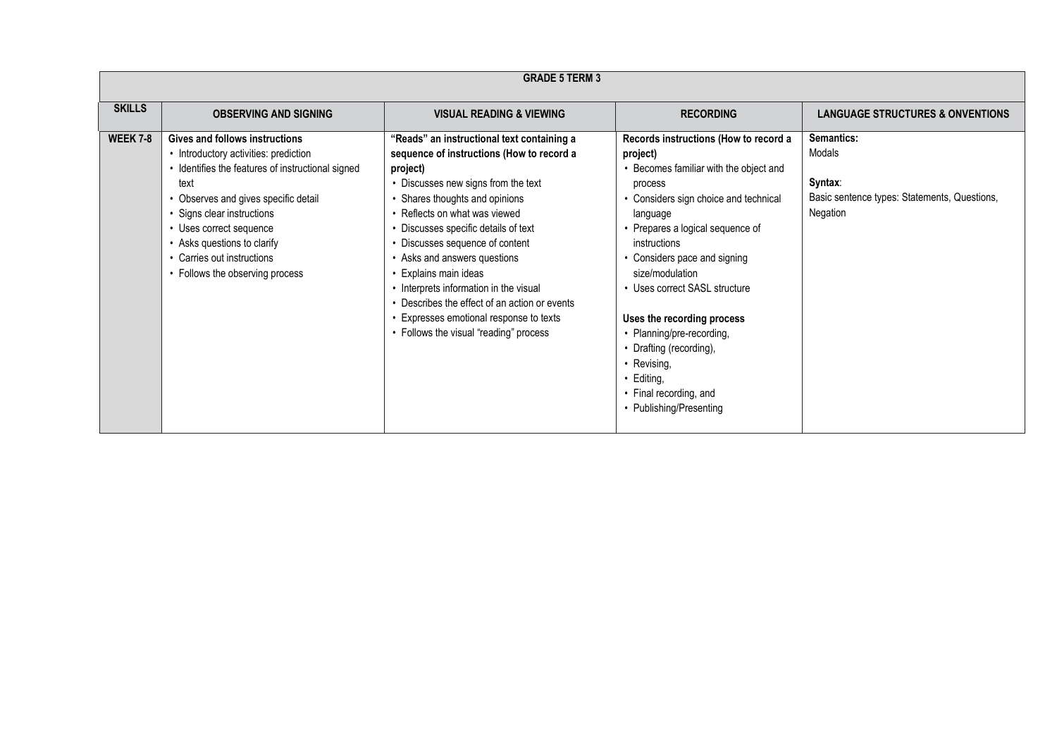|                 | <b>GRADE 5 TERM 3</b>                                                                                                                                                                                                                                                                                                                        |                                                                                                                                                                                                                                                                                                                                                                                                                                                                                                                                   |                                                                                                                                                                                                                                                                                                                                                                                                                                                                               |                                                                                             |  |
|-----------------|----------------------------------------------------------------------------------------------------------------------------------------------------------------------------------------------------------------------------------------------------------------------------------------------------------------------------------------------|-----------------------------------------------------------------------------------------------------------------------------------------------------------------------------------------------------------------------------------------------------------------------------------------------------------------------------------------------------------------------------------------------------------------------------------------------------------------------------------------------------------------------------------|-------------------------------------------------------------------------------------------------------------------------------------------------------------------------------------------------------------------------------------------------------------------------------------------------------------------------------------------------------------------------------------------------------------------------------------------------------------------------------|---------------------------------------------------------------------------------------------|--|
| <b>SKILLS</b>   | <b>OBSERVING AND SIGNING</b>                                                                                                                                                                                                                                                                                                                 | <b>VISUAL READING &amp; VIEWING</b>                                                                                                                                                                                                                                                                                                                                                                                                                                                                                               | <b>RECORDING</b>                                                                                                                                                                                                                                                                                                                                                                                                                                                              | <b>LANGUAGE STRUCTURES &amp; ONVENTIONS</b>                                                 |  |
| <b>WEEK 7-8</b> | <b>Gives and follows instructions</b><br>• Introductory activities: prediction<br>• Identifies the features of instructional signed<br>text<br>• Observes and gives specific detail<br>• Signs clear instructions<br>• Uses correct sequence<br>• Asks questions to clarify<br>• Carries out instructions<br>• Follows the observing process | "Reads" an instructional text containing a<br>sequence of instructions (How to record a<br>project)<br>• Discusses new signs from the text<br>• Shares thoughts and opinions<br>• Reflects on what was viewed<br>• Discusses specific details of text<br>• Discusses sequence of content<br>• Asks and answers questions<br>• Explains main ideas<br>• Interprets information in the visual<br>• Describes the effect of an action or events<br>• Expresses emotional response to texts<br>• Follows the visual "reading" process | Records instructions (How to record a<br>project)<br>• Becomes familiar with the object and<br>process<br>Considers sign choice and technical<br>language<br>Prepares a logical sequence of<br>instructions<br>• Considers pace and signing<br>size/modulation<br>• Uses correct SASL structure<br>Uses the recording process<br>• Planning/pre-recording,<br>• Drafting (recording),<br>• Revising,<br>$\cdot$ Editing,<br>• Final recording, and<br>• Publishing/Presenting | Semantics:<br>Modals<br>Syntax:<br>Basic sentence types: Statements, Questions,<br>Negation |  |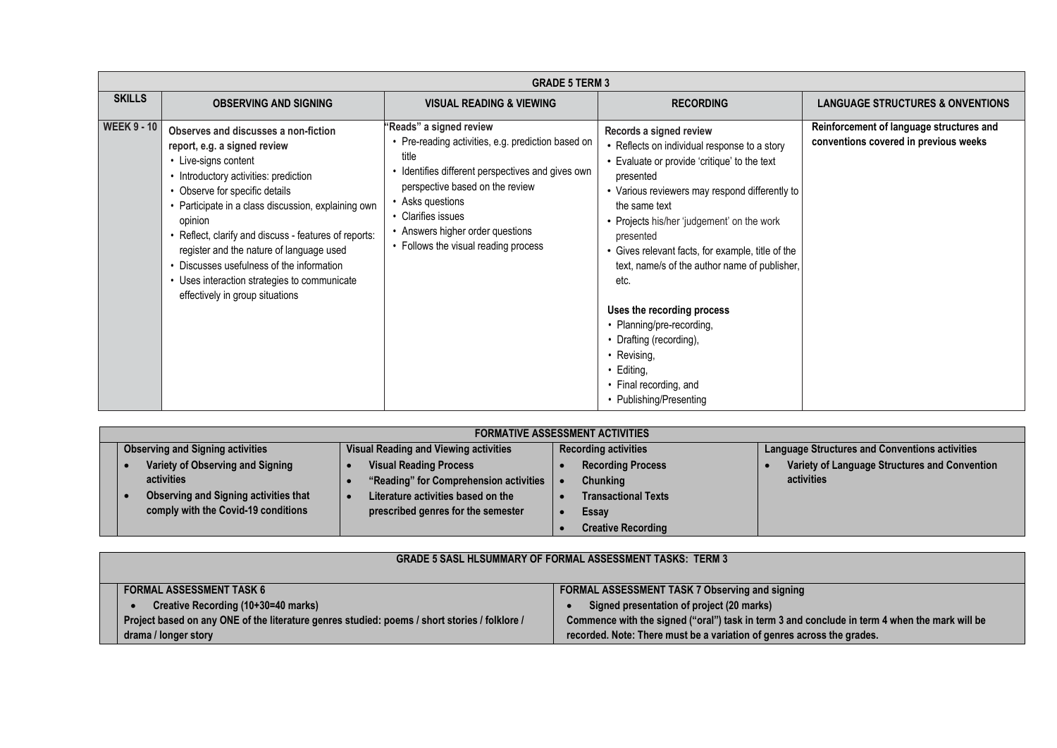| <b>GRADE 5 TERM 3</b> |                                                                                                                                                                                                                                                                                                                                                                                                                                                                              |                                                                                                                                                                                                                                                                                                    |                                                                                                                                                                                                                                                                                                                                                                                                                                                                                                                                                                |                                                                                   |
|-----------------------|------------------------------------------------------------------------------------------------------------------------------------------------------------------------------------------------------------------------------------------------------------------------------------------------------------------------------------------------------------------------------------------------------------------------------------------------------------------------------|----------------------------------------------------------------------------------------------------------------------------------------------------------------------------------------------------------------------------------------------------------------------------------------------------|----------------------------------------------------------------------------------------------------------------------------------------------------------------------------------------------------------------------------------------------------------------------------------------------------------------------------------------------------------------------------------------------------------------------------------------------------------------------------------------------------------------------------------------------------------------|-----------------------------------------------------------------------------------|
| <b>SKILLS</b>         | <b>OBSERVING AND SIGNING</b>                                                                                                                                                                                                                                                                                                                                                                                                                                                 | <b>VISUAL READING &amp; VIEWING</b>                                                                                                                                                                                                                                                                | <b>RECORDING</b>                                                                                                                                                                                                                                                                                                                                                                                                                                                                                                                                               | <b>LANGUAGE STRUCTURES &amp; ONVENTIONS</b>                                       |
| <b>WEEK 9 - 10</b>    | Observes and discusses a non-fiction<br>report, e.g. a signed review<br>• Live-signs content<br>• Introductory activities: prediction<br>• Observe for specific details<br>• Participate in a class discussion, explaining own<br>opinion<br>Reflect, clarify and discuss - features of reports:<br>register and the nature of language used<br>• Discusses usefulness of the information<br>• Uses interaction strategies to communicate<br>effectively in group situations | "Reads" a signed review<br>• Pre-reading activities, e.g. prediction based on<br>title<br>Identifies different perspectives and gives own<br>perspective based on the review<br>• Asks questions<br>• Clarifies issues<br>• Answers higher order questions<br>• Follows the visual reading process | Records a signed review<br>• Reflects on individual response to a story<br>• Evaluate or provide 'critique' to the text<br>presented<br>• Various reviewers may respond differently to<br>the same text<br>• Projects his/her 'judgement' on the work<br>presented<br>• Gives relevant facts, for example, title of the<br>text, name/s of the author name of publisher,<br>etc.<br>Uses the recording process<br>• Planning/pre-recording,<br>• Drafting (recording),<br>• Revising,<br>$\cdot$ Editing,<br>• Final recording, and<br>• Publishing/Presenting | Reinforcement of language structures and<br>conventions covered in previous weeks |

| <b>FORMATIVE ASSESSMENT ACTIVITIES</b>                                              |                                                                          |                                             |                                                             |  |  |
|-------------------------------------------------------------------------------------|--------------------------------------------------------------------------|---------------------------------------------|-------------------------------------------------------------|--|--|
| <b>Observing and Signing activities</b>                                             | <b>Visual Reading and Viewing activities</b>                             | <b>Recording activities</b>                 | <b>Language Structures and Conventions activities</b>       |  |  |
| Variety of Observing and Signing<br>activities                                      | <b>Visual Reading Process</b><br>"Reading" for Comprehension activities  | <b>Recording Process</b><br><b>Chunking</b> | Variety of Language Structures and Convention<br>activities |  |  |
| <b>Observing and Signing activities that</b><br>comply with the Covid-19 conditions | Literature activities based on the<br>prescribed genres for the semester | <b>Transactional Texts</b><br>Essay         |                                                             |  |  |
|                                                                                     |                                                                          | <b>Creative Recording</b>                   |                                                             |  |  |

| <b>GRADE 5 SASL HLSUMMARY OF FORMAL ASSESSMENT TASKS: TERM 3</b>                              |                                                                                               |  |  |  |
|-----------------------------------------------------------------------------------------------|-----------------------------------------------------------------------------------------------|--|--|--|
| <b>FORMAL ASSESSMENT TASK 6</b>                                                               | <b>FORMAL ASSESSMENT TASK 7 Observing and signing</b>                                         |  |  |  |
| Creative Recording (10+30=40 marks)                                                           | Signed presentation of project (20 marks)                                                     |  |  |  |
| Project based on any ONE of the literature genres studied: poems / short stories / folklore / | Commence with the signed ("oral") task in term 3 and conclude in term 4 when the mark will be |  |  |  |
| drama / longer story                                                                          | recorded. Note: There must be a variation of genres across the grades.                        |  |  |  |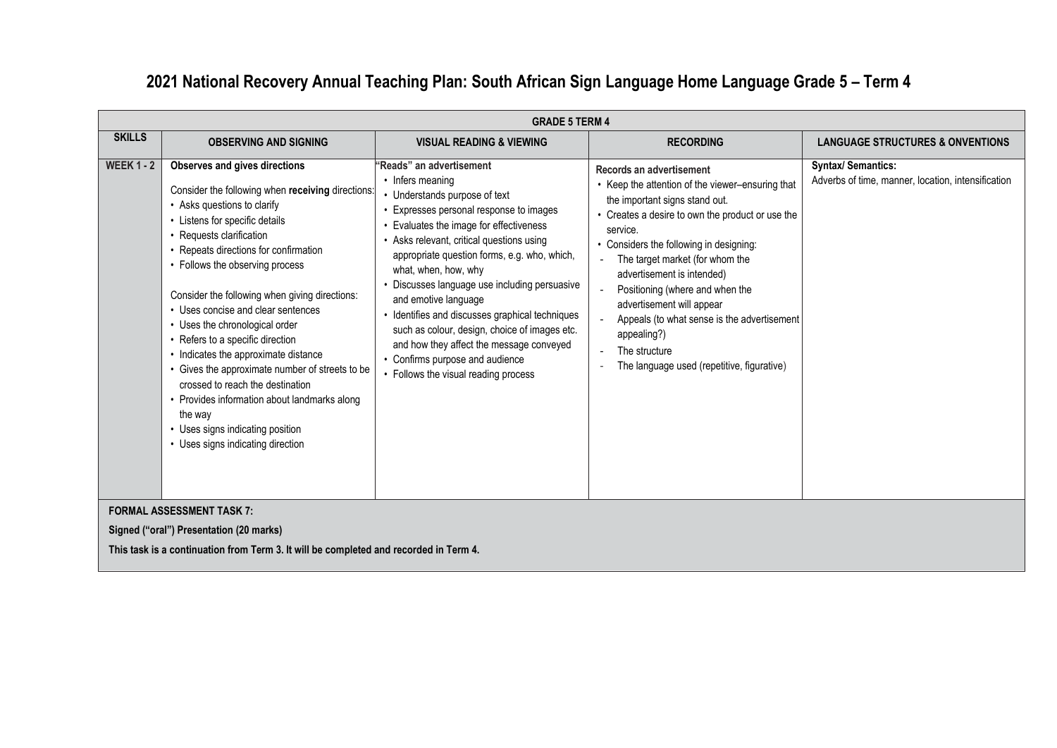## **2021 National Recovery Annual Teaching Plan: South African Sign Language Home Language Grade 5 – Term 4**

|                   | <b>GRADE 5 TERM 4</b>                                                                                                                                                                                                                                                                                                                                                                                                                                                                                                                                                                                                                                                            |                                                                                                                                                                                                                                                                                                                                                                                                                                                                                                                                                                                            |                                                                                                                                                                                                                                                                                                                                                                                                                                                                                         |                                                                                 |  |
|-------------------|----------------------------------------------------------------------------------------------------------------------------------------------------------------------------------------------------------------------------------------------------------------------------------------------------------------------------------------------------------------------------------------------------------------------------------------------------------------------------------------------------------------------------------------------------------------------------------------------------------------------------------------------------------------------------------|--------------------------------------------------------------------------------------------------------------------------------------------------------------------------------------------------------------------------------------------------------------------------------------------------------------------------------------------------------------------------------------------------------------------------------------------------------------------------------------------------------------------------------------------------------------------------------------------|-----------------------------------------------------------------------------------------------------------------------------------------------------------------------------------------------------------------------------------------------------------------------------------------------------------------------------------------------------------------------------------------------------------------------------------------------------------------------------------------|---------------------------------------------------------------------------------|--|
| <b>SKILLS</b>     | <b>OBSERVING AND SIGNING</b>                                                                                                                                                                                                                                                                                                                                                                                                                                                                                                                                                                                                                                                     | <b>VISUAL READING &amp; VIEWING</b>                                                                                                                                                                                                                                                                                                                                                                                                                                                                                                                                                        | <b>RECORDING</b>                                                                                                                                                                                                                                                                                                                                                                                                                                                                        | <b>LANGUAGE STRUCTURES &amp; ONVENTIONS</b>                                     |  |
| <b>WEEK 1 - 2</b> | Observes and gives directions<br>Consider the following when receiving directions:<br>• Asks questions to clarify<br>• Listens for specific details<br>Requests clarification<br>Repeats directions for confirmation<br>• Follows the observing process<br>Consider the following when giving directions:<br>• Uses concise and clear sentences<br>• Uses the chronological order<br>Refers to a specific direction<br>Indicates the approximate distance<br>Gives the approximate number of streets to be<br>crossed to reach the destination<br>Provides information about landmarks along<br>the way<br>• Uses signs indicating position<br>• Uses signs indicating direction | 'Reads" an advertisement<br>• Infers meaning<br>• Understands purpose of text<br>Expresses personal response to images<br>• Evaluates the image for effectiveness<br>• Asks relevant, critical questions using<br>appropriate question forms, e.g. who, which,<br>what, when, how, why<br>• Discusses language use including persuasive<br>and emotive language<br>• Identifies and discusses graphical techniques<br>such as colour, design, choice of images etc.<br>and how they affect the message conveyed<br>• Confirms purpose and audience<br>• Follows the visual reading process | Records an advertisement<br>• Keep the attention of the viewer-ensuring that<br>the important signs stand out.<br>• Creates a desire to own the product or use the<br>service.<br>• Considers the following in designing:<br>The target market (for whom the<br>advertisement is intended)<br>Positioning (where and when the<br>advertisement will appear<br>Appeals (to what sense is the advertisement<br>appealing?)<br>The structure<br>The language used (repetitive, figurative) | <b>Syntax/ Semantics:</b><br>Adverbs of time, manner, location, intensification |  |
|                   | <b>FORMAL ASSESSMENT TASK 7:</b>                                                                                                                                                                                                                                                                                                                                                                                                                                                                                                                                                                                                                                                 |                                                                                                                                                                                                                                                                                                                                                                                                                                                                                                                                                                                            |                                                                                                                                                                                                                                                                                                                                                                                                                                                                                         |                                                                                 |  |

**Signed ("oral") Presentation (20 marks)**

**This task is a continuation from Term 3. It will be completed and recorded in Term 4.**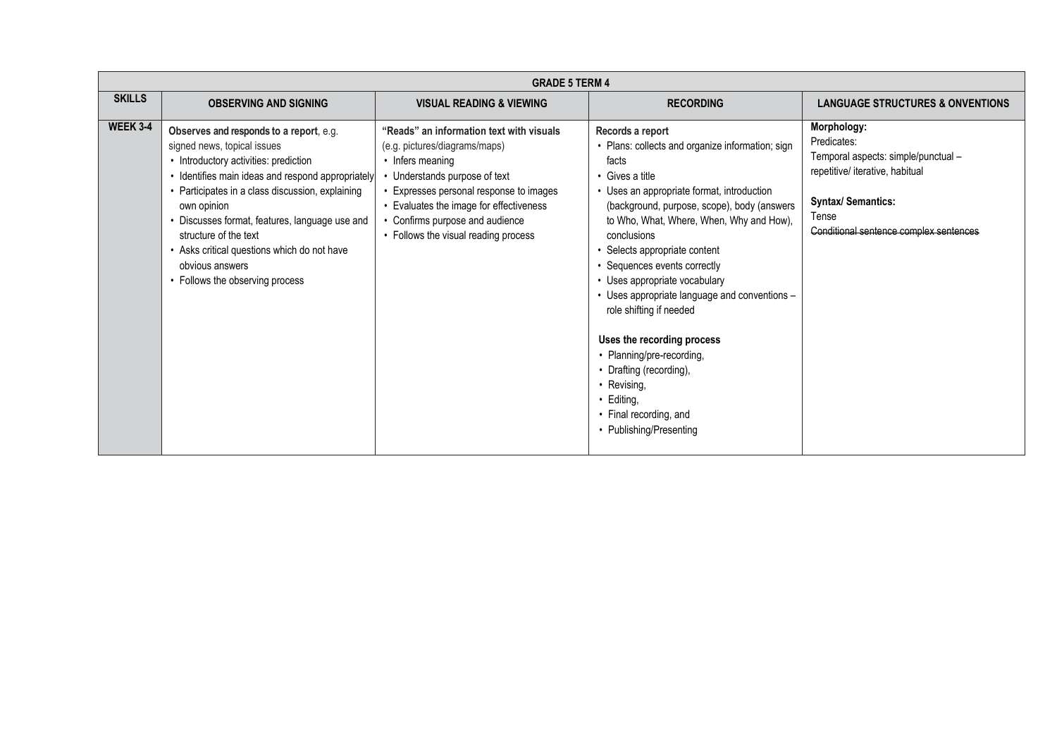|                 | <b>GRADE 5 TERM 4</b>                                                                                                                                                                                                                                                                                                                                                                                                   |                                                                                                                                                                                                                                                                                                 |                                                                                                                                                                                                                                                                                                                                                                                                                                                                                                                                                                                                              |                                                                                                                                                                                      |
|-----------------|-------------------------------------------------------------------------------------------------------------------------------------------------------------------------------------------------------------------------------------------------------------------------------------------------------------------------------------------------------------------------------------------------------------------------|-------------------------------------------------------------------------------------------------------------------------------------------------------------------------------------------------------------------------------------------------------------------------------------------------|--------------------------------------------------------------------------------------------------------------------------------------------------------------------------------------------------------------------------------------------------------------------------------------------------------------------------------------------------------------------------------------------------------------------------------------------------------------------------------------------------------------------------------------------------------------------------------------------------------------|--------------------------------------------------------------------------------------------------------------------------------------------------------------------------------------|
| <b>SKILLS</b>   | <b>OBSERVING AND SIGNING</b>                                                                                                                                                                                                                                                                                                                                                                                            | <b>VISUAL READING &amp; VIEWING</b>                                                                                                                                                                                                                                                             | <b>RECORDING</b>                                                                                                                                                                                                                                                                                                                                                                                                                                                                                                                                                                                             | <b>LANGUAGE STRUCTURES &amp; ONVENTIONS</b>                                                                                                                                          |
| <b>WEEK 3-4</b> | Observes and responds to a report, e.g.<br>signed news, topical issues<br>• Introductory activities: prediction<br>· Identifies main ideas and respond appropriately<br>• Participates in a class discussion, explaining<br>own opinion<br>• Discusses format, features, language use and<br>structure of the text<br>• Asks critical questions which do not have<br>obvious answers<br>• Follows the observing process | "Reads" an information text with visuals<br>(e.g. pictures/diagrams/maps)<br>• Infers meaning<br>• Understands purpose of text<br>• Expresses personal response to images<br>• Evaluates the image for effectiveness<br>• Confirms purpose and audience<br>• Follows the visual reading process | Records a report<br>• Plans: collects and organize information; sign<br>facts<br>• Gives a title<br>• Uses an appropriate format, introduction<br>(background, purpose, scope), body (answers<br>to Who, What, Where, When, Why and How),<br>conclusions<br>Selects appropriate content<br>• Sequences events correctly<br>• Uses appropriate vocabulary<br>• Uses appropriate language and conventions -<br>role shifting if needed<br>Uses the recording process<br>• Planning/pre-recording,<br>• Drafting (recording),<br>• Revising,<br>• Editing,<br>• Final recording, and<br>• Publishing/Presenting | Morphology:<br>Predicates:<br>Temporal aspects: simple/punctual -<br>repetitive/ iterative, habitual<br><b>Syntax/ Semantics:</b><br>Tense<br>Conditional sentence complex sentences |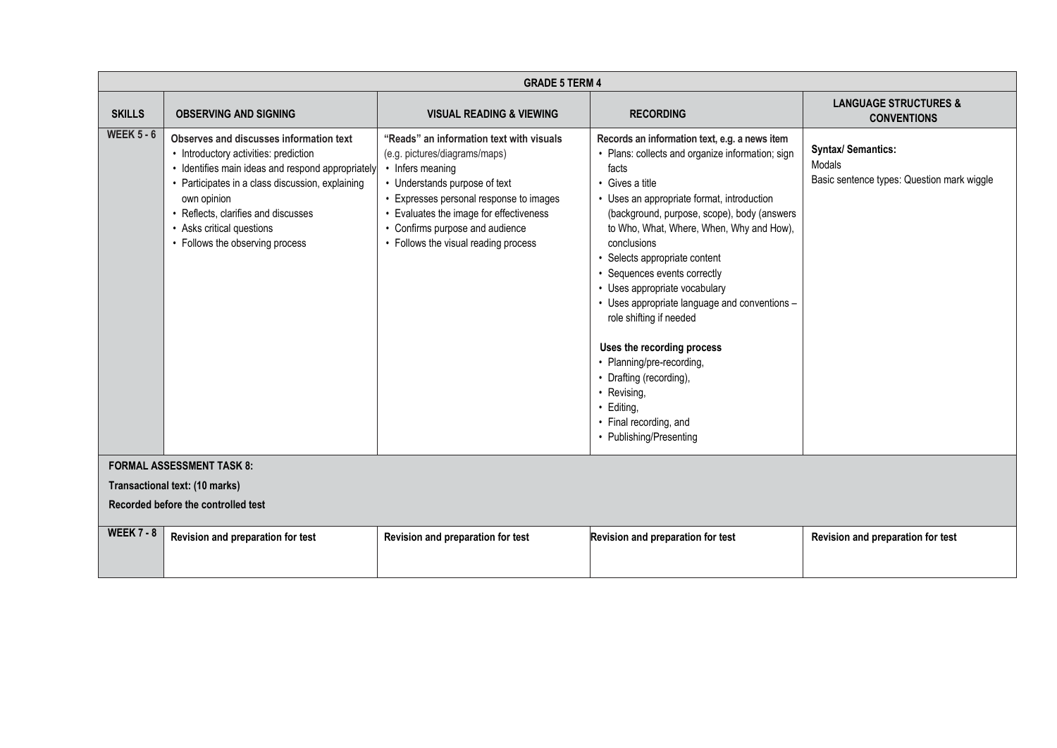|                   | <b>GRADE 5 TERM 4</b>                                                                                                                                                                                                                                                                                           |                                                                                                                                                                                                                                                                                                 |                                                                                                                                                                                                                                                                                                                                                                                                                                                                                                                                                                                                                                             |                                                                                   |  |
|-------------------|-----------------------------------------------------------------------------------------------------------------------------------------------------------------------------------------------------------------------------------------------------------------------------------------------------------------|-------------------------------------------------------------------------------------------------------------------------------------------------------------------------------------------------------------------------------------------------------------------------------------------------|---------------------------------------------------------------------------------------------------------------------------------------------------------------------------------------------------------------------------------------------------------------------------------------------------------------------------------------------------------------------------------------------------------------------------------------------------------------------------------------------------------------------------------------------------------------------------------------------------------------------------------------------|-----------------------------------------------------------------------------------|--|
| <b>SKILLS</b>     | <b>OBSERVING AND SIGNING</b>                                                                                                                                                                                                                                                                                    | <b>VISUAL READING &amp; VIEWING</b>                                                                                                                                                                                                                                                             | <b>RECORDING</b>                                                                                                                                                                                                                                                                                                                                                                                                                                                                                                                                                                                                                            | <b>LANGUAGE STRUCTURES &amp;</b><br><b>CONVENTIONS</b>                            |  |
| <b>WEEK 5 - 6</b> | Observes and discusses information text<br>• Introductory activities: prediction<br>• Identifies main ideas and respond appropriately<br>• Participates in a class discussion, explaining<br>own opinion<br>• Reflects, clarifies and discusses<br>• Asks critical questions<br>• Follows the observing process | "Reads" an information text with visuals<br>(e.g. pictures/diagrams/maps)<br>• Infers meaning<br>• Understands purpose of text<br>• Expresses personal response to images<br>• Evaluates the image for effectiveness<br>• Confirms purpose and audience<br>• Follows the visual reading process | Records an information text, e.g. a news item<br>• Plans: collects and organize information; sign<br>facts<br>• Gives a title<br>• Uses an appropriate format, introduction<br>(background, purpose, scope), body (answers<br>to Who, What, Where, When, Why and How),<br>conclusions<br>• Selects appropriate content<br>• Sequences events correctly<br>• Uses appropriate vocabulary<br>• Uses appropriate language and conventions -<br>role shifting if needed<br>Uses the recording process<br>• Planning/pre-recording,<br>• Drafting (recording),<br>• Revising,<br>• Editing,<br>• Final recording, and<br>• Publishing/Presenting | <b>Syntax/ Semantics:</b><br>Modals<br>Basic sentence types: Question mark wiggle |  |
|                   | <b>FORMAL ASSESSMENT TASK 8:</b>                                                                                                                                                                                                                                                                                |                                                                                                                                                                                                                                                                                                 |                                                                                                                                                                                                                                                                                                                                                                                                                                                                                                                                                                                                                                             |                                                                                   |  |
|                   | Transactional text: (10 marks)                                                                                                                                                                                                                                                                                  |                                                                                                                                                                                                                                                                                                 |                                                                                                                                                                                                                                                                                                                                                                                                                                                                                                                                                                                                                                             |                                                                                   |  |
|                   | Recorded before the controlled test                                                                                                                                                                                                                                                                             |                                                                                                                                                                                                                                                                                                 |                                                                                                                                                                                                                                                                                                                                                                                                                                                                                                                                                                                                                                             |                                                                                   |  |
| <b>WEEK 7 - 8</b> | Revision and preparation for test                                                                                                                                                                                                                                                                               | Revision and preparation for test                                                                                                                                                                                                                                                               | Revision and preparation for test                                                                                                                                                                                                                                                                                                                                                                                                                                                                                                                                                                                                           | Revision and preparation for test                                                 |  |